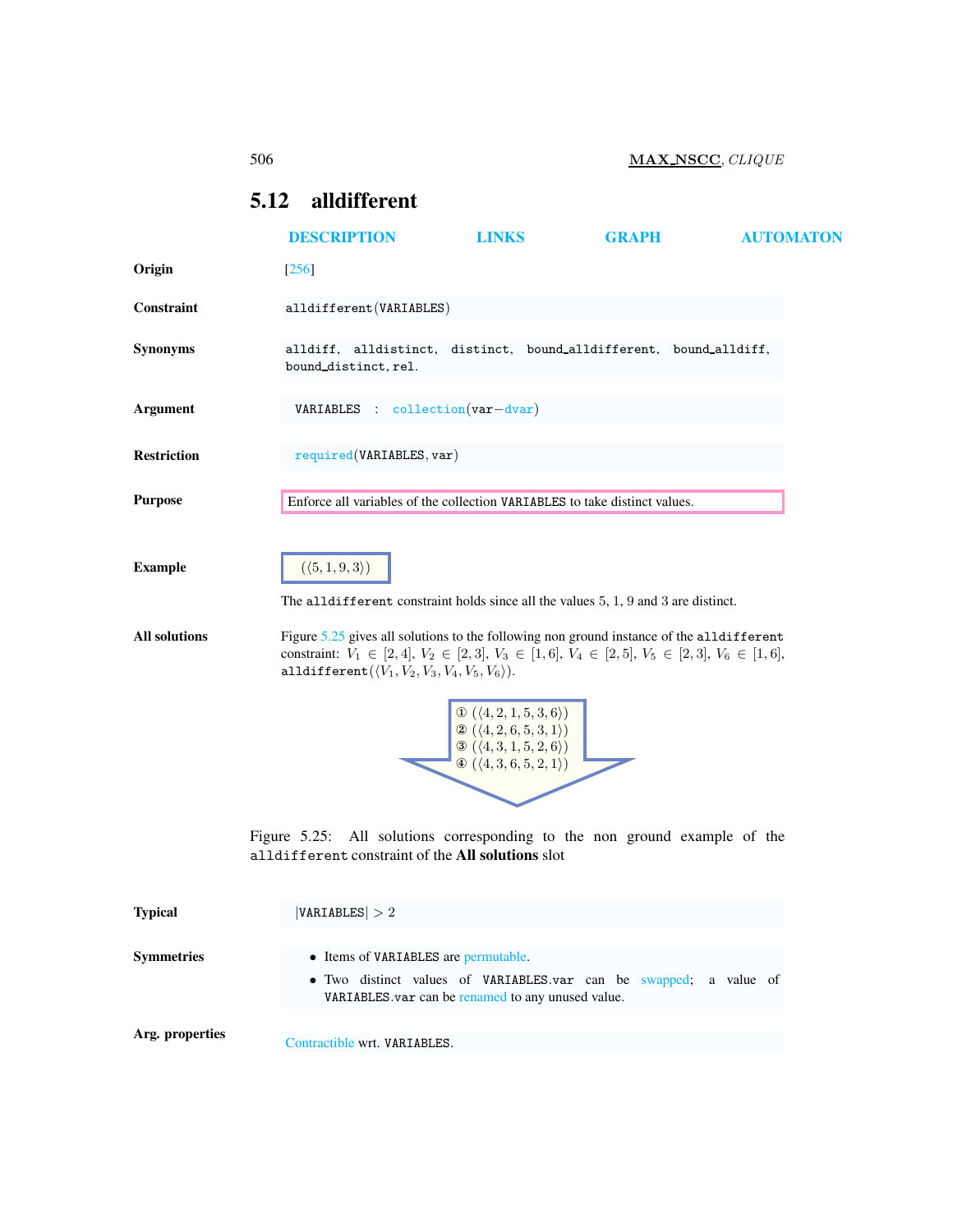# <span id="page-0-2"></span><span id="page-0-0"></span>5.12 alldifferent

|                      | <b>DESCRIPTION</b>                                                                                                                                                                                                                                                           | <b>LINKS</b>                                                                                                                                                                            | <b>GRAPH</b>                                                 | <b>AUTOMATON</b> |
|----------------------|------------------------------------------------------------------------------------------------------------------------------------------------------------------------------------------------------------------------------------------------------------------------------|-----------------------------------------------------------------------------------------------------------------------------------------------------------------------------------------|--------------------------------------------------------------|------------------|
| Origin               | $[256]$                                                                                                                                                                                                                                                                      |                                                                                                                                                                                         |                                                              |                  |
| Constraint           | alldifferent (VARIABLES)                                                                                                                                                                                                                                                     |                                                                                                                                                                                         |                                                              |                  |
| <b>Synonyms</b>      | alldiff, alldistinct, distinct, bound_alldifferent, bound_alldiff,<br>bound_distinct, rel.                                                                                                                                                                                   |                                                                                                                                                                                         |                                                              |                  |
| <b>Argument</b>      | VARIABLES : collection (var-dvar)                                                                                                                                                                                                                                            |                                                                                                                                                                                         |                                                              |                  |
| <b>Restriction</b>   | required(VARIABLES, var)                                                                                                                                                                                                                                                     |                                                                                                                                                                                         |                                                              |                  |
| <b>Purpose</b>       | Enforce all variables of the collection VARIABLES to take distinct values.                                                                                                                                                                                                   |                                                                                                                                                                                         |                                                              |                  |
| <b>Example</b>       | $(\langle 5, 1, 9, 3 \rangle)$<br>The alldifferent constraint holds since all the values $5, 1, 9$ and 3 are distinct.                                                                                                                                                       |                                                                                                                                                                                         |                                                              |                  |
| <b>All solutions</b> | Figure 5.25 gives all solutions to the following non ground instance of the alldifferent<br>constraint: $V_1 \in [2, 4], V_2 \in [2, 3], V_3 \in [1, 6], V_4 \in [2, 5], V_5 \in [2, 3], V_6 \in [1, 6],$<br>alldifferent $(\langle V_1, V_2, V_3, V_4, V_5, V_6 \rangle)$ . |                                                                                                                                                                                         |                                                              |                  |
|                      |                                                                                                                                                                                                                                                                              | $\begin{array}{l} \mathbb{O} \ (\langle 4,2,1,5,3,6 \rangle) \\ \mathbb{O} \ (\langle 4,2,6,5,3,1 \rangle) \end{array}$<br>(4,3,1,5,2,6)<br>$\Phi$ $(\langle 4, 3, 6, 5, 2, 1 \rangle)$ |                                                              |                  |
|                      | Figure $5.25$ :                                                                                                                                                                                                                                                              |                                                                                                                                                                                         | All solutions corresponding to the non ground example of the |                  |

<span id="page-0-1"></span>alldifferent constraint of the All solutions slot

| <b>Typical</b>    | VARIABLES  > 2                                                                                                                                                 |  |  |  |  |  |  |  |
|-------------------|----------------------------------------------------------------------------------------------------------------------------------------------------------------|--|--|--|--|--|--|--|
| <b>Symmetries</b> | • Items of VARIABLES are permutable.<br>• Two distinct values of VARIABLES.var can be swapped; a value of<br>VARIABLES var can be renamed to any unused value. |  |  |  |  |  |  |  |
| Arg. properties   | Contractible wrt. VARIABLES.                                                                                                                                   |  |  |  |  |  |  |  |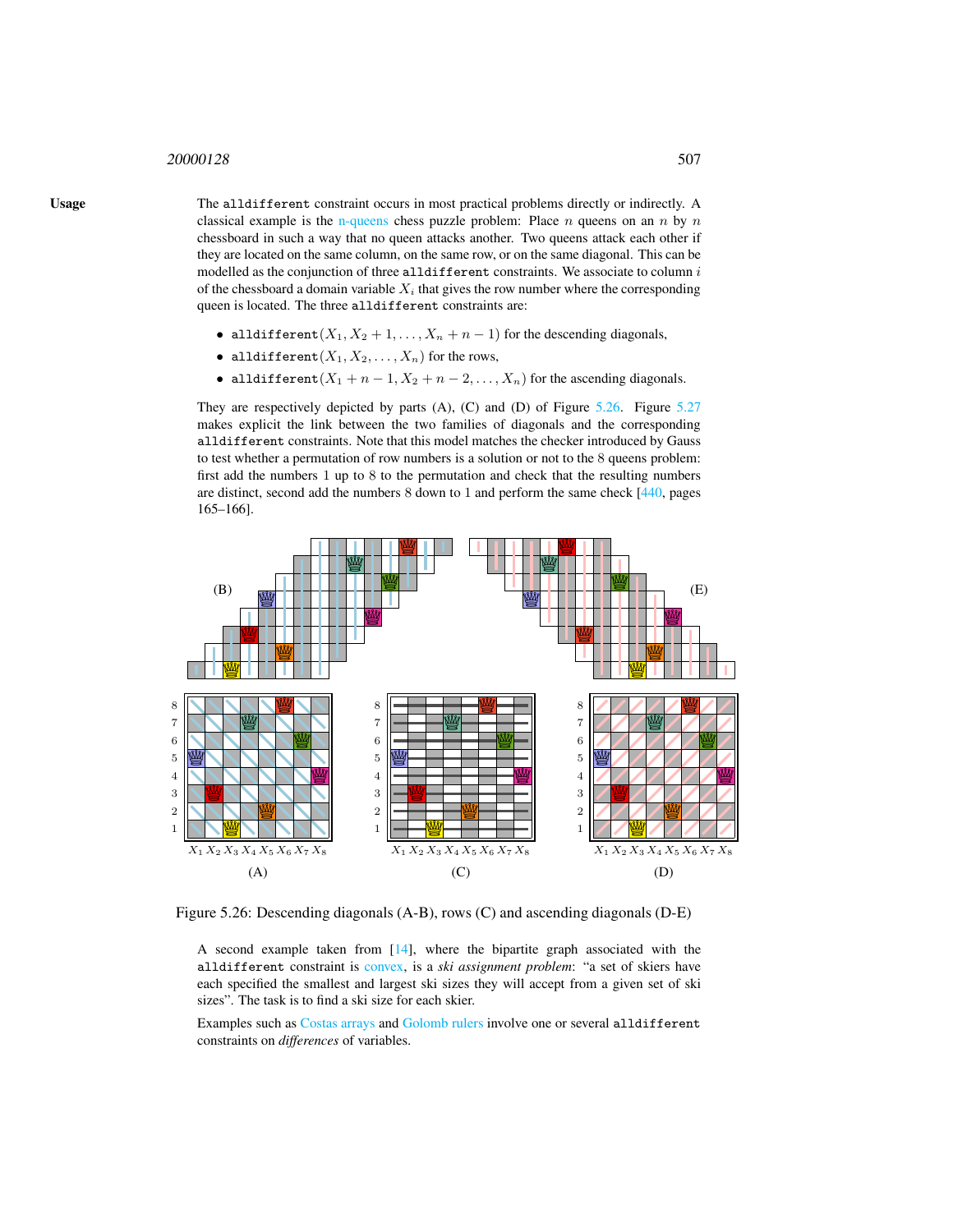#### <sup>20000128</sup> 507

Usage The alldifferent constraint occurs in most practical problems directly or indirectly. A classical example is the n-queens chess puzzle problem: Place  $n$  queens on an  $n$  by  $n$ chessboard in such a way that no queen attacks another. Two queens attack each other if they are located on the same column, on the same row, or on the same diagonal. This can be modelled as the conjunction of three alldifferent constraints. We associate to column  $i$ of the chessboard a domain variable  $X_i$  that gives the row number where the corresponding queen is located. The three alldifferent constraints are:

- alldifferent $(X_1, X_2 + 1, \ldots, X_n + n 1)$  for the descending diagonals,
- alldifferent $(X_1, X_2, \ldots, X_n)$  for the rows,
- alldifferent  $(X_1 + n 1, X_2 + n 2, ..., X_n)$  for the ascending diagonals.

They are respectively depicted by parts (A), (C) and (D) of Figure [5.26.](#page-1-0) Figure [5.27](#page-2-0) makes explicit the link between the two families of diagonals and the corresponding alldifferent constraints. Note that this model matches the checker introduced by Gauss to test whether a permutation of row numbers is a solution or not to the 8 queens problem: first add the numbers 1 up to 8 to the permutation and check that the resulting numbers are distinct, second add the numbers 8 down to 1 and perform the same check [440, pages 165–166].



Figure 5.26: Descending diagonals (A-B), rows (C) and ascending diagonals (D-E)

<span id="page-1-0"></span>A second example taken from [14], where the bipartite graph associated with the alldifferent constraint is convex, is a *ski assignment problem*: "a set of skiers have each specified the smallest and largest ski sizes they will accept from a given set of ski sizes". The task is to find a ski size for each skier.

Examples such as Costas arrays and Golomb rulers involve one or several alldifferent constraints on *differences* of variables.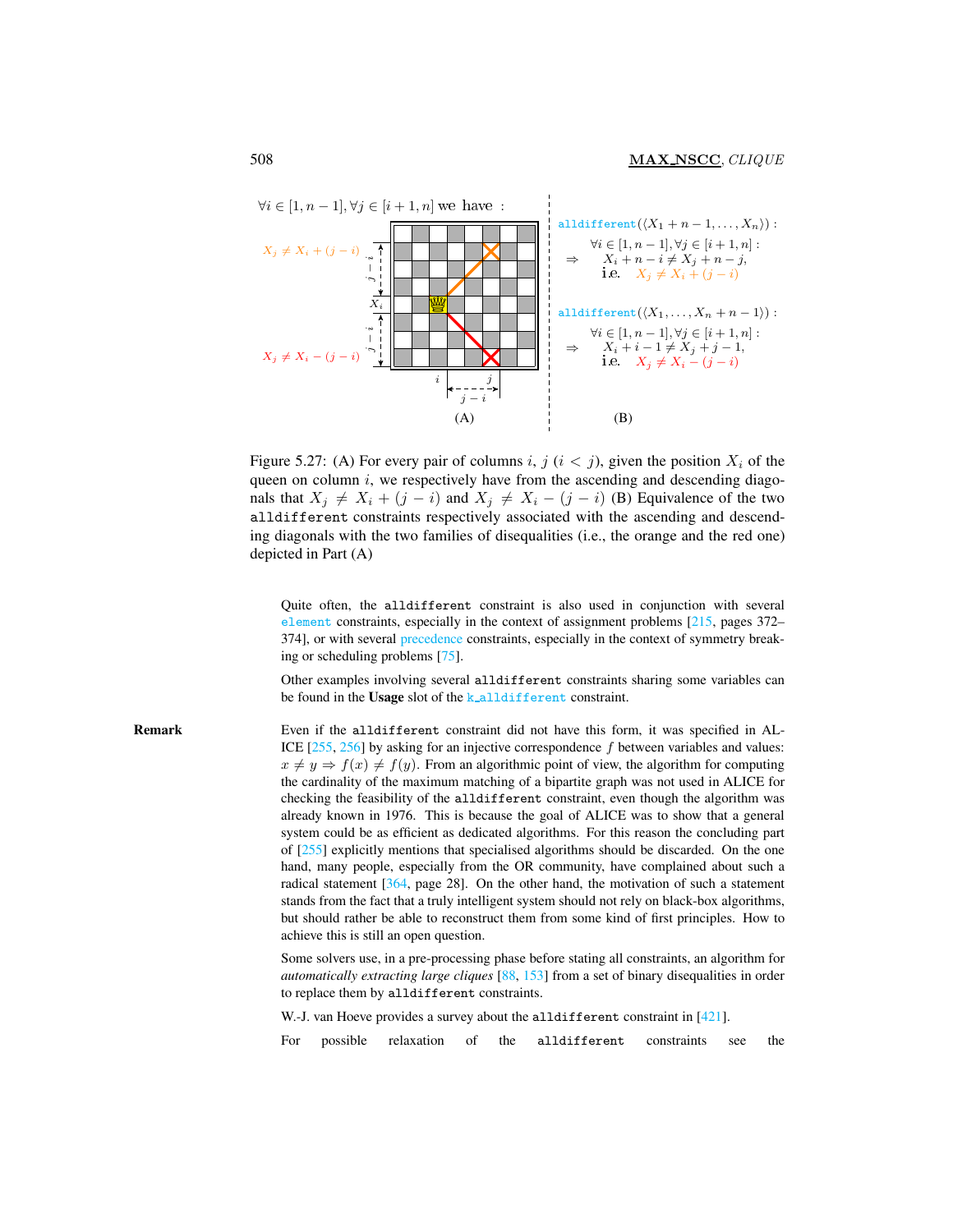

<span id="page-2-0"></span>Figure 5.27: (A) For every pair of columns i, j  $(i < j)$ , given the position  $X_i$  of the queen on column  $i$ , we respectively have from the ascending and descending diagonals that  $X_i \neq X_i + (j - i)$  and  $X_j \neq X_i - (j - i)$  (B) Equivalence of the two alldifferent constraints respectively associated with the ascending and descending diagonals with the two families of disequalities (i.e., the orange and the red one) depicted in Part (A)

Quite often, the alldifferent constraint is also used in conjunction with several element constraints, especially in the context of assignment problems [215, pages 372– 374], or with several precedence constraints, especially in the context of symmetry breaking or scheduling problems [75].

Other examples involving several alldifferent constraints sharing some variables can be found in the Usage slot of the k\_alldifferent constraint.

Remark Even if the alldifferent constraint did not have this form, it was specified in AL-ICE [255, 256] by asking for an injective correspondence f between variables and values:  $x \neq y \Rightarrow f(x) \neq f(y)$ . From an algorithmic point of view, the algorithm for computing the cardinality of the maximum matching of a bipartite graph was not used in ALICE for checking the feasibility of the alldifferent constraint, even though the algorithm was already known in 1976. This is because the goal of ALICE was to show that a general system could be as efficient as dedicated algorithms. For this reason the concluding part of [255] explicitly mentions that specialised algorithms should be discarded. On the one hand, many people, especially from the OR community, have complained about such a radical statement [364, page 28]. On the other hand, the motivation of such a statement stands from the fact that a truly intelligent system should not rely on black-box algorithms, but should rather be able to reconstruct them from some kind of first principles. How to achieve this is still an open question.

> Some solvers use, in a pre-processing phase before stating all constraints, an algorithm for *automatically extracting large cliques* [88, 153] from a set of binary disequalities in order to replace them by alldifferent constraints.

W.-J. van Hoeve provides a survey about the alldifferent constraint in [421].

For possible relaxation of the alldifferent constraints see the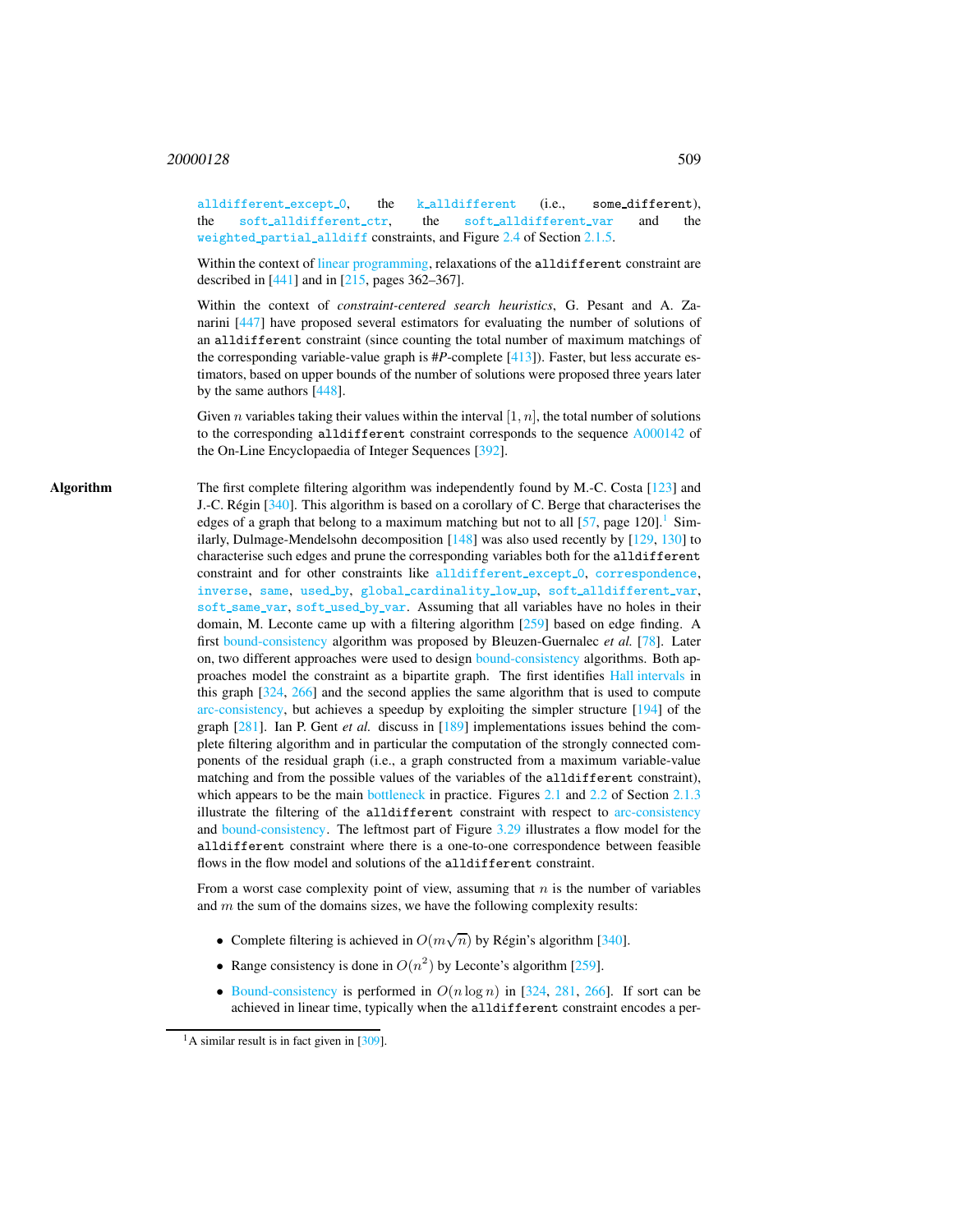alldifferent\_except\_0, the k\_alldifferent (i.e., some\_different), the soft\_alldifferent\_ctr, the soft\_alldifferent\_var and the weighted partial alldiff constraints, and Figure 2.4 of Section 2.1.5.

Within the context of linear programming, relaxations of the alldifferent constraint are described in [441] and in [215, pages 362–367].

Within the context of *constraint-centered search heuristics*, G. Pesant and A. Zanarini [447] have proposed several estimators for evaluating the number of solutions of an alldifferent constraint (since counting the total number of maximum matchings of the corresponding variable-value graph is #*P*-complete [413]). Faster, but less accurate estimators, based on upper bounds of the number of solutions were proposed three years later by the same authors [448].

Given *n* variables taking their values within the interval  $[1, n]$ , the total number of solutions to the corresponding alldifferent constraint corresponds to the sequence [A000142](http://oeis.org/A000142) of the On-Line Encyclopaedia of Integer Sequences [392].

Algorithm The first complete filtering algorithm was independently found by M.-C. Costa [123] and J.-C. Régin  $[340]$ . This algorithm is based on a corollary of C. Berge that characterises the edges of a graph that belong to a maximum matching but not to all  $[57,$  page  $120$  $120$ ].<sup>1</sup> Similarly, Dulmage-Mendelsohn decomposition [148] was also used recently by [129, 130] to characterise such edges and prune the corresponding variables both for the alldifferent constraint and for other constraints like alldifferent except 0, correspondence, inverse, same, used\_by, global\_cardinality\_low\_up, soft\_alldifferent\_var, soft\_same\_var, soft\_used\_by\_var. Assuming that all variables have no holes in their domain, M. Leconte came up with a filtering algorithm [259] based on edge finding. A first bound-consistency algorithm was proposed by Bleuzen-Guernalec *et al.* [78]. Later on, two different approaches were used to design bound-consistency algorithms. Both approaches model the constraint as a bipartite graph. The first identifies Hall intervals in this graph [324, 266] and the second applies the same algorithm that is used to compute arc-consistency, but achieves a speedup by exploiting the simpler structure [194] of the graph [281]. Ian P. Gent *et al.* discuss in [189] implementations issues behind the complete filtering algorithm and in particular the computation of the strongly connected components of the residual graph (i.e., a graph constructed from a maximum variable-value matching and from the possible values of the variables of the alldifferent constraint), which appears to be the main bottleneck in practice. Figures 2.1 and 2.2 of Section 2.1.3 illustrate the filtering of the alldifferent constraint with respect to arc-consistency and bound-consistency. The leftmost part of Figure 3.29 illustrates a flow model for the alldifferent constraint where there is a one-to-one correspondence between feasible flows in the flow model and solutions of the alldifferent constraint.

> From a worst case complexity point of view, assuming that  $n$  is the number of variables and  $m$  the sum of the domains sizes, we have the following complexity results:

- Complete filtering is achieved in  $O(m\sqrt{n})$  by Régin's algorithm [340].
- Range consistency is done in  $O(n^2)$  by Leconte's algorithm [259].
- Bound-consistency is performed in  $O(n \log n)$  in [324, 281, 266]. If sort can be achieved in linear time, typically when the alldifferent constraint encodes a per-

<span id="page-3-0"></span><sup>&</sup>lt;sup>1</sup>A similar result is in fact given in [309].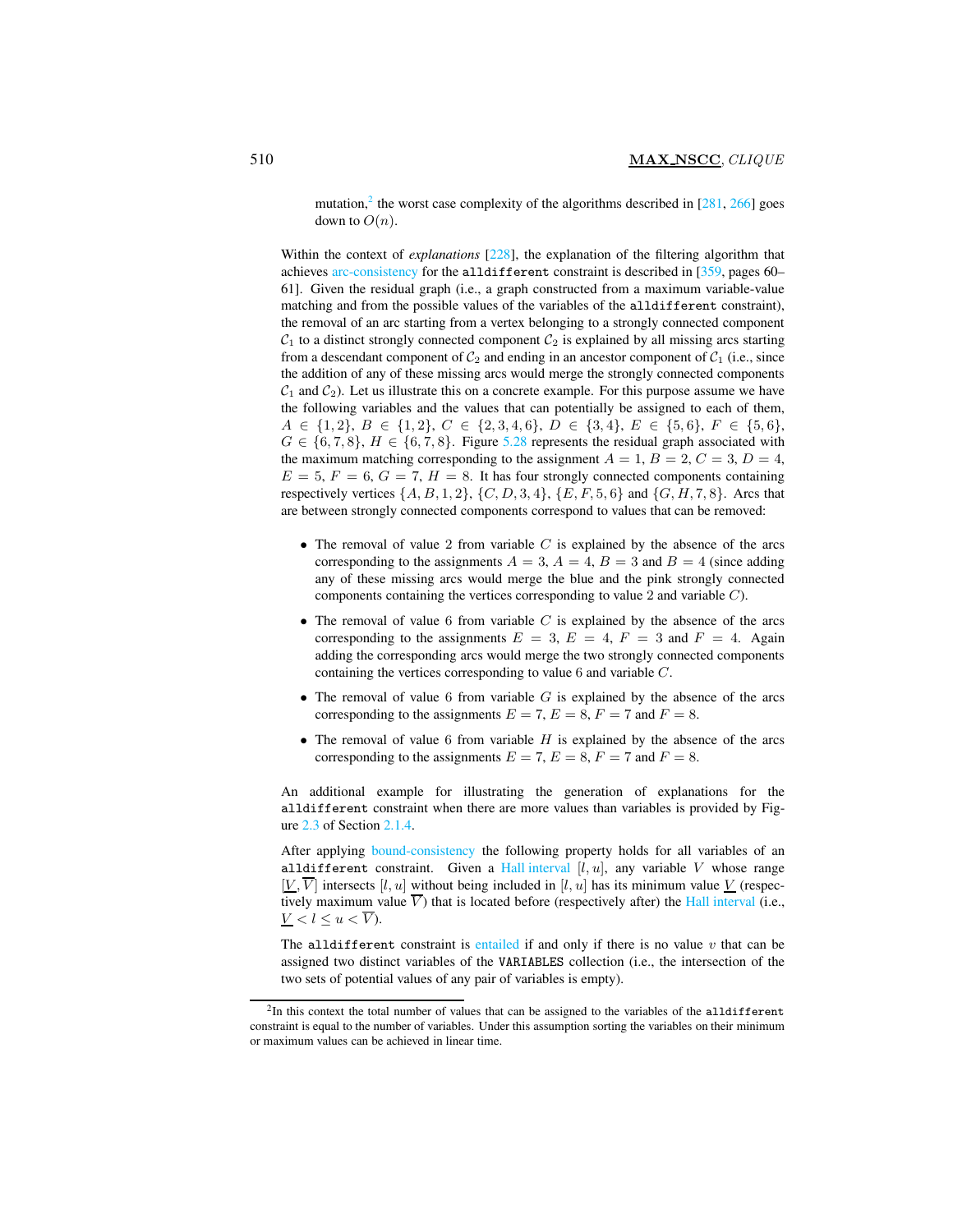mutation,<sup>[2](#page-4-0)</sup> the worst case complexity of the algorithms described in  $[281, 266]$  goes down to  $O(n)$ .

Within the context of *explanations* [228], the explanation of the filtering algorithm that achieves arc-consistency for the alldifferent constraint is described in [359, pages 60– 61]. Given the residual graph (i.e., a graph constructed from a maximum variable-value matching and from the possible values of the variables of the alldifferent constraint), the removal of an arc starting from a vertex belonging to a strongly connected component  $C_1$  to a distinct strongly connected component  $C_2$  is explained by all missing arcs starting from a descendant component of  $C_2$  and ending in an ancestor component of  $C_1$  (i.e., since the addition of any of these missing arcs would merge the strongly connected components  $C_1$  and  $C_2$ ). Let us illustrate this on a concrete example. For this purpose assume we have the following variables and the values that can potentially be assigned to each of them,  $A \in \{1,2\}, B \in \{1,2\}, C \in \{2,3,4,6\}, D \in \{3,4\}, E \in \{5,6\}, F \in \{5,6\},$  $G \in \{6, 7, 8\}, H \in \{6, 7, 8\}.$  Figure [5.28](#page-5-0) represents the residual graph associated with the maximum matching corresponding to the assignment  $A = 1$ ,  $B = 2$ ,  $C = 3$ ,  $D = 4$ ,  $E = 5, F = 6, G = 7, H = 8$ . It has four strongly connected components containing respectively vertices  $\{A, B, 1, 2\}, \{C, D, 3, 4\}, \{E, F, 5, 6\}$  and  $\{G, H, 7, 8\}.$  Arcs that are between strongly connected components correspond to values that can be removed:

- The removal of value 2 from variable  $C$  is explained by the absence of the arcs corresponding to the assignments  $A = 3$ ,  $A = 4$ ,  $B = 3$  and  $B = 4$  (since adding any of these missing arcs would merge the blue and the pink strongly connected components containing the vertices corresponding to value 2 and variable C).
- The removal of value 6 from variable  $C$  is explained by the absence of the arcs corresponding to the assignments  $E = 3$ ,  $E = 4$ ,  $F = 3$  and  $F = 4$ . Again adding the corresponding arcs would merge the two strongly connected components containing the vertices corresponding to value 6 and variable C.
- The removal of value 6 from variable  $G$  is explained by the absence of the arcs corresponding to the assignments  $E = 7$ ,  $E = 8$ ,  $F = 7$  and  $F = 8$ .
- The removal of value 6 from variable  $H$  is explained by the absence of the arcs corresponding to the assignments  $E = 7$ ,  $E = 8$ ,  $F = 7$  and  $F = 8$ .

An additional example for illustrating the generation of explanations for the alldifferent constraint when there are more values than variables is provided by Figure 2.3 of Section 2.1.4.

After applying bound-consistency the following property holds for all variables of an alldifferent constraint. Given a Hall interval  $[l, u]$ , any variable V whose range  $[V, \overline{V}]$  intersects [l, u] without being included in [l, u] has its minimum value V (respectively maximum value  $\overline{V}$ ) that is located before (respectively after) the Hall interval (i.e.,  $V < l \leq u \leq \overline{V}$ ).

The alldifferent constraint is entailed if and only if there is no value  $v$  that can be assigned two distinct variables of the VARIABLES collection (i.e., the intersection of the two sets of potential values of any pair of variables is empty).

<span id="page-4-0"></span> $2$ In this context the total number of values that can be assigned to the variables of the alldifferent constraint is equal to the number of variables. Under this assumption sorting the variables on their minimum or maximum values can be achieved in linear time.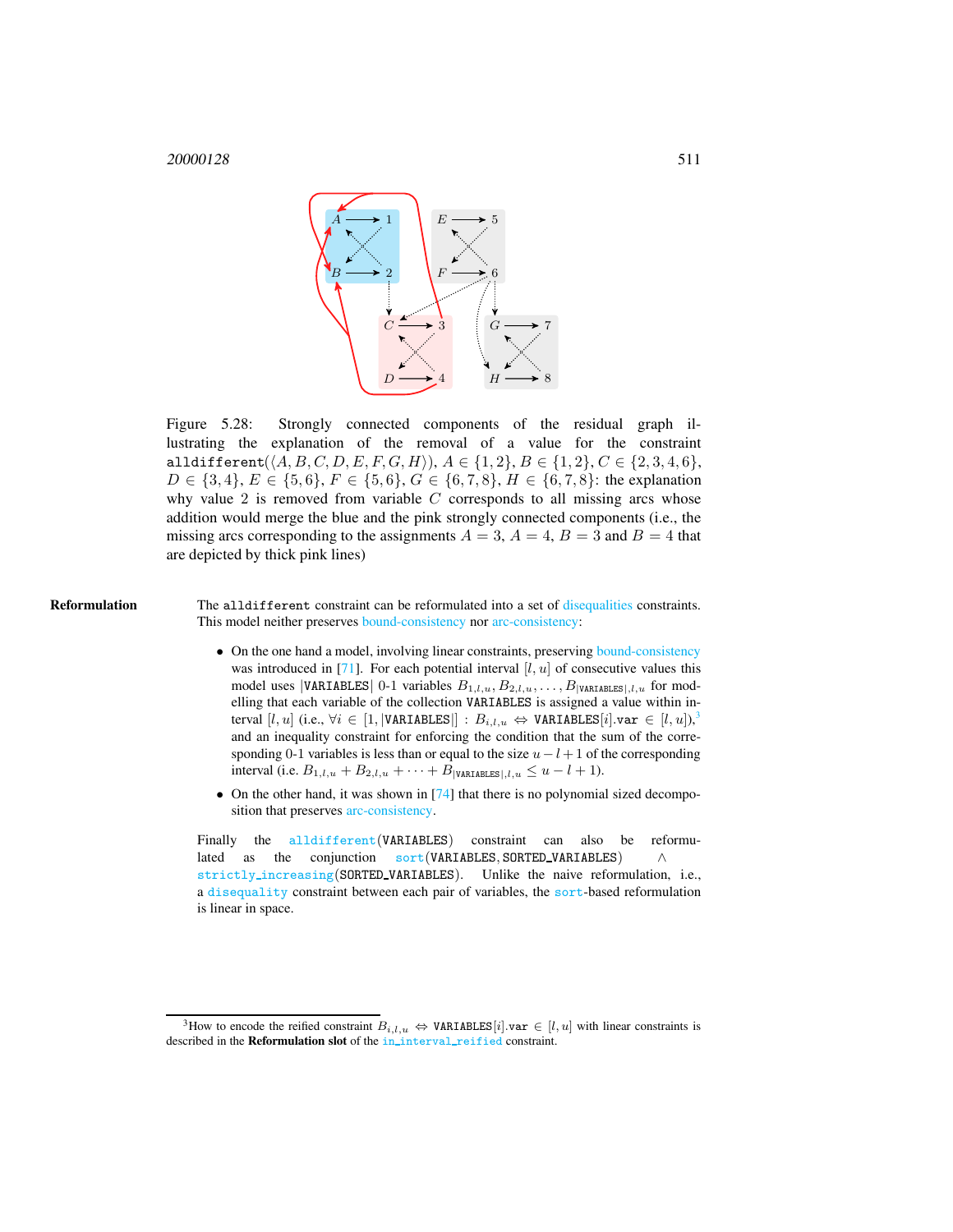

<span id="page-5-0"></span>Figure 5.28: Strongly connected components of the residual graph illustrating the explanation of the removal of a value for the constraint alldifferent $(\langle A, B, C, D, E, F, G, H \rangle)$ ,  $A \in \{1, 2\}$ ,  $B \in \{1, 2\}$ ,  $C \in \{2, 3, 4, 6\}$ ,  $D \in \{3, 4\}, E \in \{5, 6\}, F \in \{5, 6\}, G \in \{6, 7, 8\}, H \in \{6, 7, 8\}$ : the explanation why value  $2$  is removed from variable  $C$  corresponds to all missing arcs whose addition would merge the blue and the pink strongly connected components (i.e., the missing arcs corresponding to the assignments  $A = 3$ ,  $A = 4$ ,  $B = 3$  and  $B = 4$  that are depicted by thick pink lines)

Reformulation The alldifferent constraint can be reformulated into a set of disequalities constraints. This model neither preserves bound-consistency nor arc-consistency:

- On the one hand a model, involving linear constraints, preserving bound-consistency was introduced in  $[71]$ . For each potential interval  $[l, u]$  of consecutive values this model uses |VARIABLES| 0-1 variables  $B_{1,l,u}, B_{2,l,u}, \ldots, B_{|\text{VARIABLES}|,l,u}$  for modelling that each variable of the collection VARIABLES is assigned a value within interval  $[l, u]$  (i.e.,  $\forall i \in [1, |\texttt{VARIABLES}|]: B_{i,l,u} \Leftrightarrow \texttt{VARIABLES}[i].\texttt{var} \in [l, u]),$ and an inequality constraint for enforcing the condition that the sum of the corresponding 0-1 variables is less than or equal to the size  $u - l + 1$  of the corresponding interval (i.e.  $B_{1,l,u} + B_{2,l,u} + \cdots + B_{|\text{VARTABLES}|,l,u} \le u - l + 1$ ).
- On the other hand, it was shown in  $[74]$  that there is no polynomial sized decomposition that preserves arc-consistency.

Finally the [alldifferent](#page-0-2)(VARIABLES) constraint can also be reformulated as the conjunction sort(VARIABLES, SORTED\_VARIABLES) strictly increasing(SORTED VARIABLES). Unlike the naive reformulation, i.e., a disequality constraint between each pair of variables, the sort-based reformulation is linear in space.

<span id="page-5-1"></span><sup>&</sup>lt;sup>3</sup>How to encode the reified constraint  $B_{i,l,u} \Leftrightarrow \texttt{VARIABLES}[i].\texttt{var} \in [l, u]$  with linear constraints is described in the Reformulation slot of the in\_interval\_reified constraint.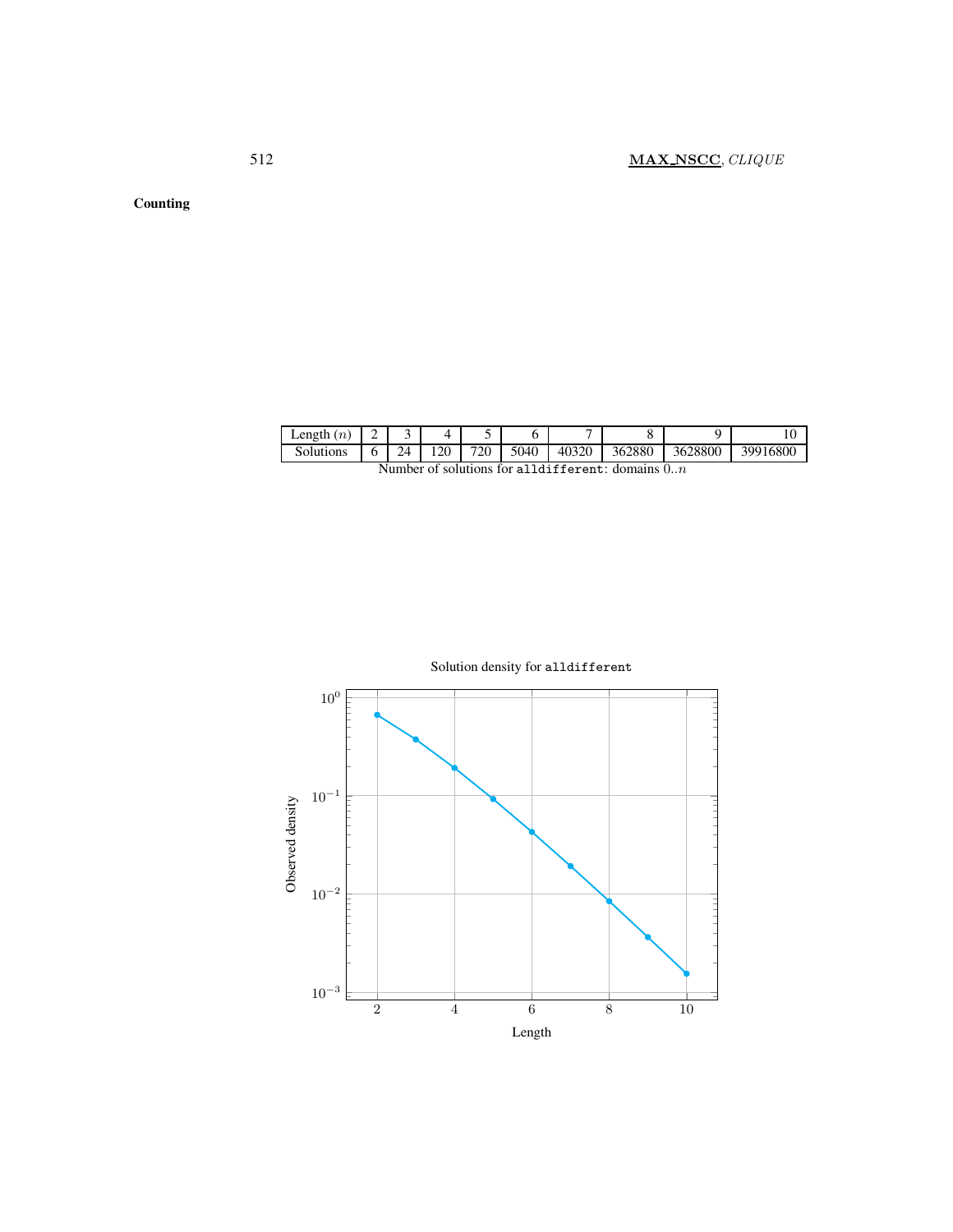Counting

| Length<br>(n)                                                       | - | ◡  |    |     |      |       |        |         |          |
|---------------------------------------------------------------------|---|----|----|-----|------|-------|--------|---------|----------|
| Solutions                                                           | O | 24 | 20 | 720 | 5040 | 40320 | 362880 | 3628800 | 39916800 |
| $\sim$ $\sim$ $\sim$ $\sim$ $\sim$ $\sim$ $\sim$ $\sim$<br>.<br>. . |   |    |    |     |      |       |        |         |          |

Number of solutions for alldifferent: domains  $0..n$ 

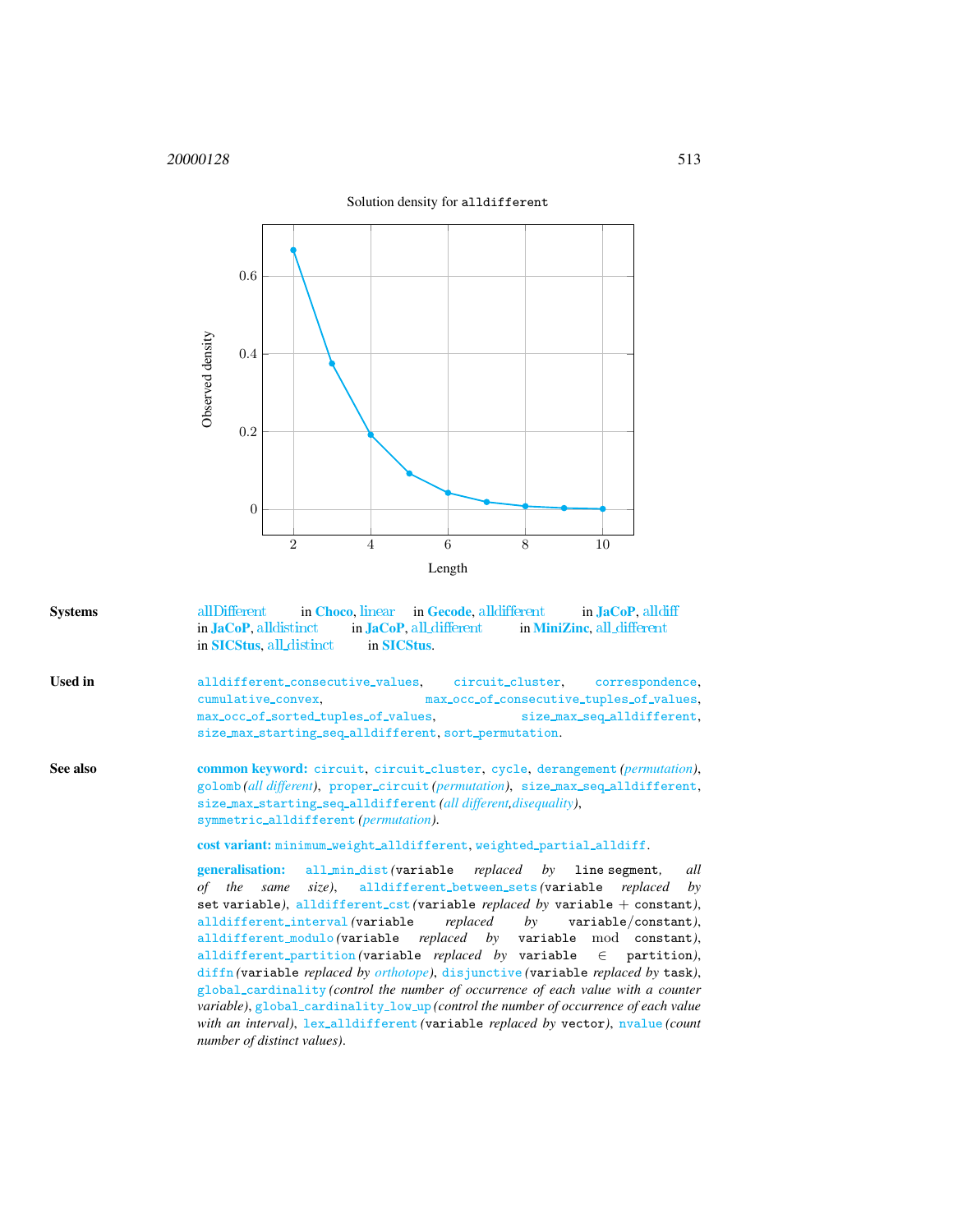

Systems [allDifferent](http://www.emn.fr/z-info/choco-solver/tex/documentation/choco-doc.pdf) in [Choco](http://choco.emn.fr/), [linear](http://www.gecode.org/doc/3.7.0/reference/group__TaskModelIntDistinct.html) in [Gecode](http://www.gecode.org/), [alldifferent](http://jacopapi.osolpro.com/JaCoP/constraints/Alldifferent.html) in [JaCoP](http://www.jacop.eu/), [alldiff](http://jacopapi.osolpro.com/JaCoP/constraints/Alldiff.html) in [JaCoP](http://www.jacop.eu/), all distinct in JaCoP, all [different](http://www.sics.se/sicstus/docs/latest4/html/sicstus.html/Combinatorial-Constraints.html) in [MiniZinc](http://www.g12.cs.mu.oz.au/minizinc/), all different in [SICStus](http://www.sics.se/sicstus/), all distinct in SICStus.

- <span id="page-7-0"></span>Used in alldifferent\_consecutive\_values, circuit\_cluster, correspondence, cumulative convex, max occ of consecutive tuples of values, max occ of sorted tuples of values, size max seq alldifferent, size\_max\_starting\_seq\_alldifferent, sort\_permutation.
- See also common keyword: circuit, circuit\_cluster, cycle, derangement (permutation), golomb *(all different)*, proper circuit *(permutation)*, size max seq alldifferent, size max starting seq alldifferent *(all different,disequality)*, symmetric alldifferent *(permutation)*.

cost variant: minimum\_weight\_alldifferent, weighted\_partial\_alldiff.

generalisation: all min dist *(*variable *replaced by* line segment*, all of the same size)*, alldifferent between sets *(*variable *replaced by* set variable*)*, alldifferent cst *(*variable *replaced by* variable + constant*)*, alldifferent interval *(*variable *replaced by* variable/constant*)*, alldifferent modulo *(*variable *replaced by* variable mod constant*)*, alldifferent\_partition (variable *replaced by* variable  $\in$  partition), diffn *(*variable *replaced by orthotope)*, disjunctive *(*variable *replaced by* task*)*, global cardinality *(control the number of occurrence of each value with a counter variable*), global\_cardinality\_low\_up (control the number of occurrence of each value *with an interval)*, lex alldifferent *(*variable *replaced by* vector*)*, nvalue *(count number of distinct values)*.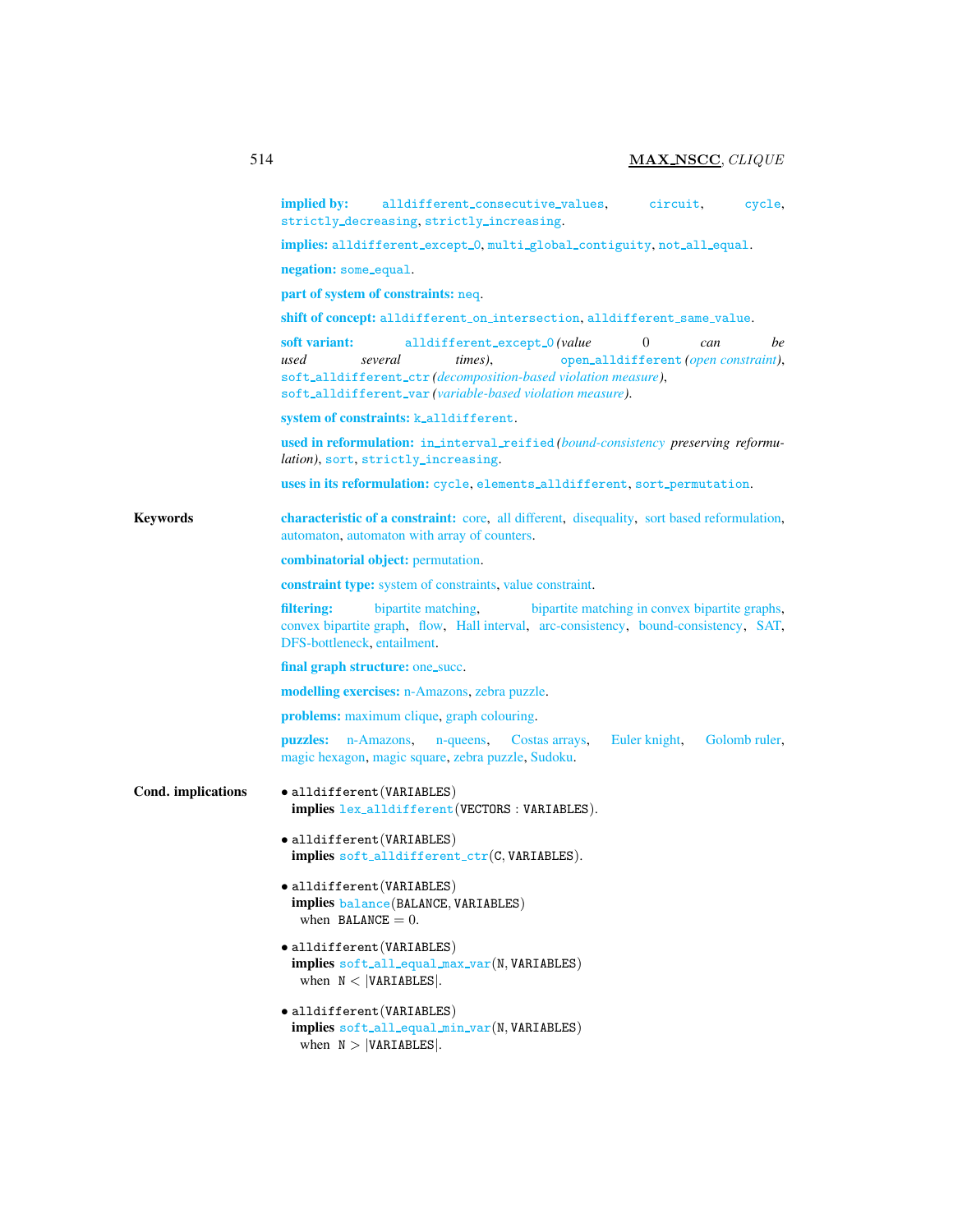|                    | implied by:<br>alldifferent_consecutive_values,<br>circuit,<br>cycle,<br>strictly_decreasing, strictly_increasing.                                                                                                                                                       |  |  |  |  |  |  |  |
|--------------------|--------------------------------------------------------------------------------------------------------------------------------------------------------------------------------------------------------------------------------------------------------------------------|--|--|--|--|--|--|--|
|                    | implies: alldifferent_except_0, multi_global_contiguity, not_all_equal.                                                                                                                                                                                                  |  |  |  |  |  |  |  |
|                    | negation: some_equal.                                                                                                                                                                                                                                                    |  |  |  |  |  |  |  |
|                    | part of system of constraints: neq.                                                                                                                                                                                                                                      |  |  |  |  |  |  |  |
|                    | shift of concept: alldifferent_on_intersection, alldifferent_same_value.                                                                                                                                                                                                 |  |  |  |  |  |  |  |
|                    | soft variant:<br>$\theta$<br>alldifferent_except_0(value<br>be<br>can<br>open_alldifferent (open constraint),<br>used<br>several<br>times).<br>soft_alldifferent_ctr(decomposition-based violation measure),<br>soft_alldifferent_var(variable-based violation measure). |  |  |  |  |  |  |  |
|                    | system of constraints: k_alldifferent.                                                                                                                                                                                                                                   |  |  |  |  |  |  |  |
|                    | used in reformulation: in_interval_reified(bound-consistency preserving reformu-<br><i>lation</i> ), sort, strictly_increasing.                                                                                                                                          |  |  |  |  |  |  |  |
|                    | uses in its reformulation: cycle, elements_alldifferent, sort_permutation.                                                                                                                                                                                               |  |  |  |  |  |  |  |
| <b>Keywords</b>    | characteristic of a constraint: core, all different, disequality, sort based reformulation,<br>automaton, automaton with array of counters.                                                                                                                              |  |  |  |  |  |  |  |
|                    | <b>combinatorial object:</b> permutation.                                                                                                                                                                                                                                |  |  |  |  |  |  |  |
|                    | <b>constraint type:</b> system of constraints, value constraint.                                                                                                                                                                                                         |  |  |  |  |  |  |  |
|                    | filtering:<br>bipartite matching,<br>bipartite matching in convex bipartite graphs,<br>convex bipartite graph, flow, Hall interval, arc-consistency, bound-consistency, SAT,<br>DFS-bottleneck, entailment.                                                              |  |  |  |  |  |  |  |
|                    | final graph structure: one_succ.                                                                                                                                                                                                                                         |  |  |  |  |  |  |  |
|                    | modelling exercises: n-Amazons, zebra puzzle.                                                                                                                                                                                                                            |  |  |  |  |  |  |  |
|                    | <b>problems:</b> maximum clique, graph colouring.                                                                                                                                                                                                                        |  |  |  |  |  |  |  |
|                    | puzzles:<br>n-Amazons,<br>Costas arrays,<br>Euler knight,<br>Golomb ruler,<br>n-queens,<br>magic hexagon, magic square, zebra puzzle, Sudoku.                                                                                                                            |  |  |  |  |  |  |  |
| Cond. implications | $\bullet$ alldifferent (VARIABLES)<br>implies lex_alldifferent(VECTORS: VARIABLES).                                                                                                                                                                                      |  |  |  |  |  |  |  |
|                    | $\bullet$ alldifferent (VARIABLES)<br>implies soft_alldifferent_ctr(C, VARIABLES).                                                                                                                                                                                       |  |  |  |  |  |  |  |
|                    | $\bullet$ alldifferent(VARIABLES)<br>implies balance (BALANCE, VARIABLES)<br>when BALANCE $= 0$ .                                                                                                                                                                        |  |  |  |  |  |  |  |
|                    | $\bullet$ alldifferent (VARIABLES)<br>implies soft_all_equal_max_var(N, VARIABLES)<br>when $N <  VARTABLES $ .                                                                                                                                                           |  |  |  |  |  |  |  |
|                    | $\bullet$ alldifferent (VARIABLES)<br>implies soft_all_equal_min_var(N, VARIABLES)<br>when $N >  VARIABLES $ .                                                                                                                                                           |  |  |  |  |  |  |  |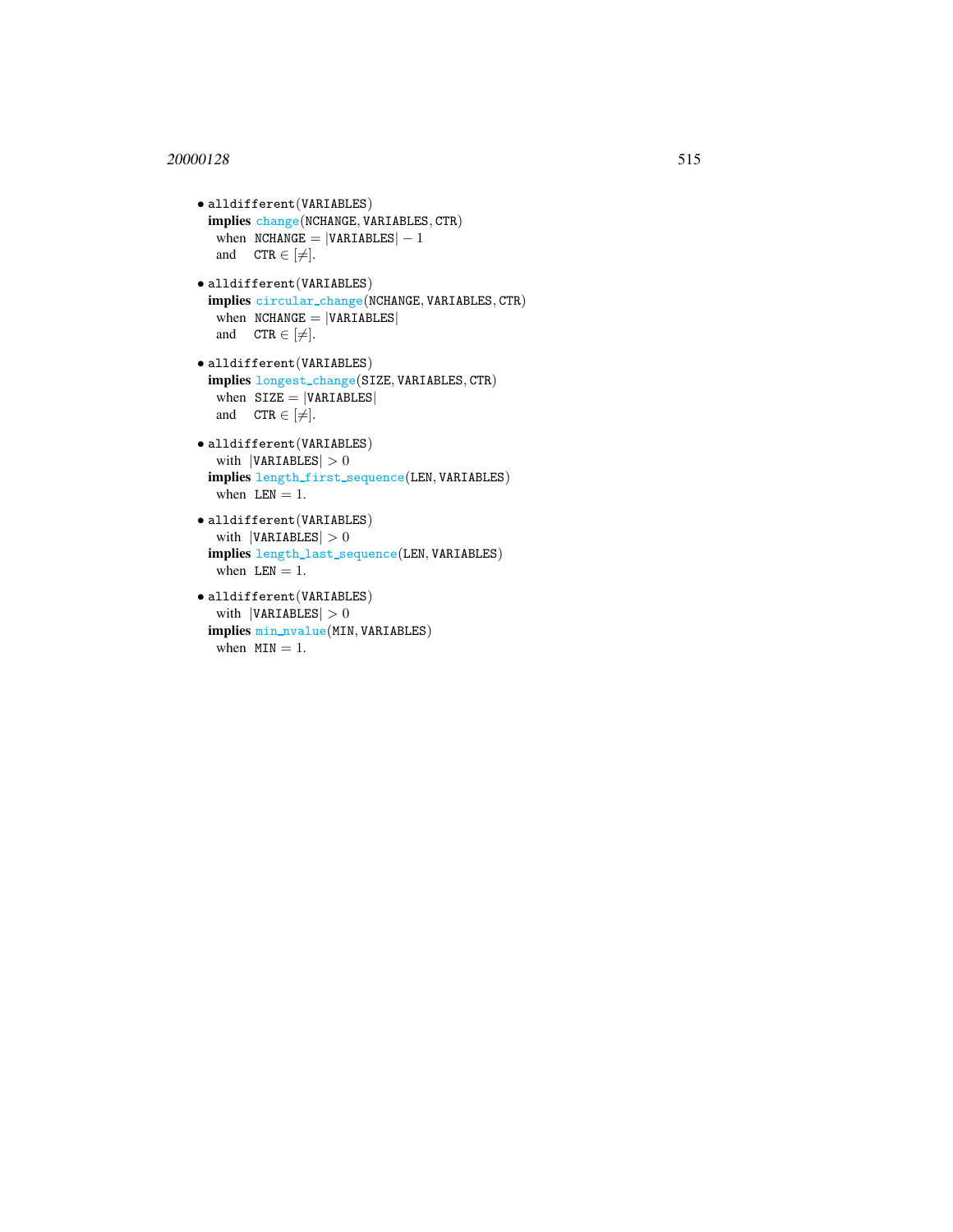# <sup>20000128</sup> 515

```
• alldifferent(VARIABLES)
 implies change(NCHANGE, VARIABLES, CTR)
  when NCHANGE = |VARIABLES| - 1and CTR \in [\neq].
• alldifferent(VARIABLES)
 implies circular change(NCHANGE, VARIABLES, CTR)
  when NCHANGE = |VARIABLES|and CTR \in [\neq].
• alldifferent(VARIABLES)
 implies longest change(SIZE, VARIABLES, CTR)
  when SIZE = |VARIABLES|and CTR \in [\neq].
• alldifferent(VARIABLES)
  with |VARIABLES| > 0implies length first sequence(LEN, VARIABLES)
  when LEN = 1.
• alldifferent(VARIABLES)
  with |VARIABLES| > 0implies length last sequence(LEN, VARIABLES)
  when LEN = 1.
• alldifferent(VARIABLES)
```

```
with |VARIABLES| > 0implies min nvalue(MIN, VARIABLES)
 when MIN = 1.
```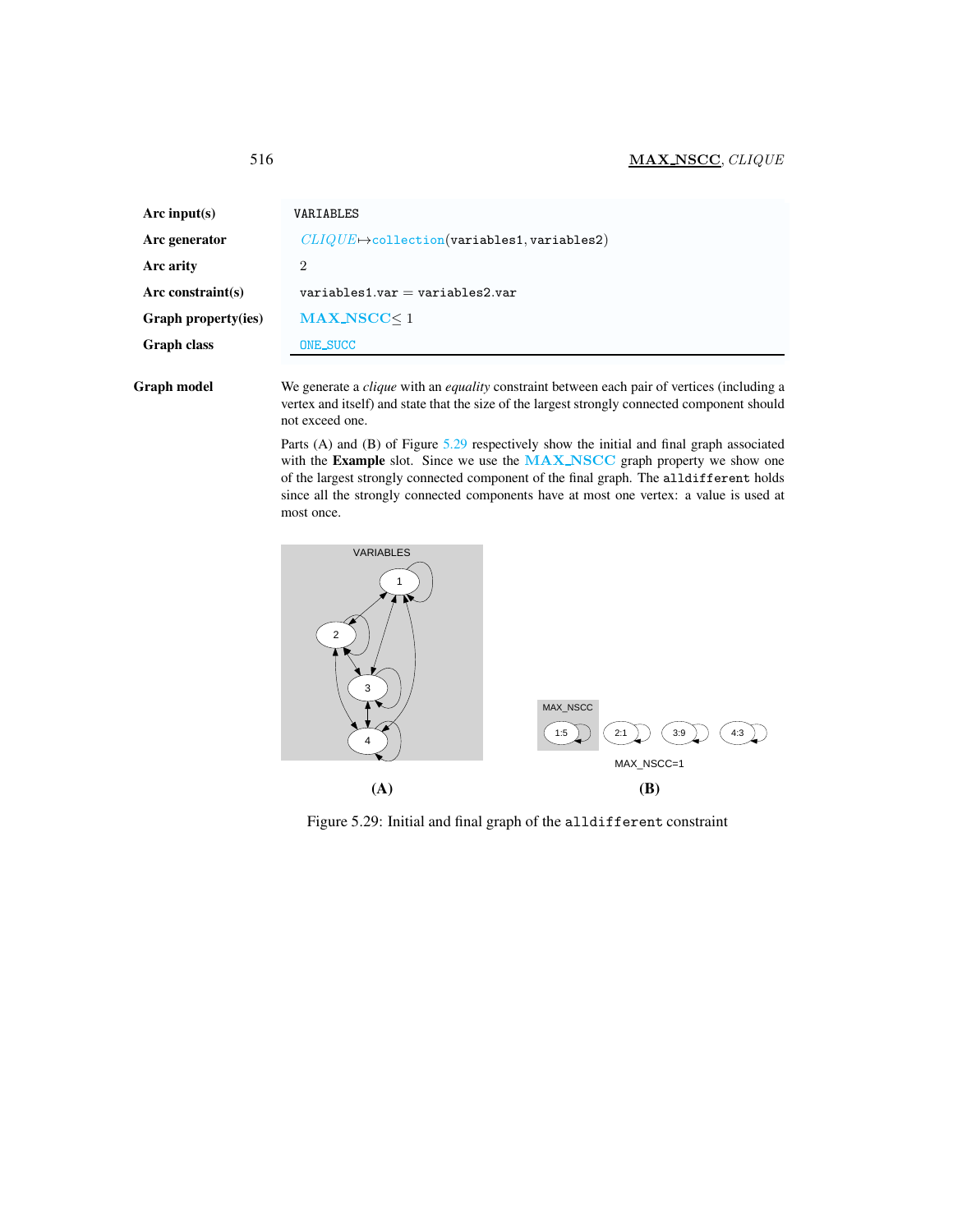# <span id="page-10-0"></span>516 MAX NSCC, CLIQUE

| Arc input( $s$ )     | VARIABLES                                               |
|----------------------|---------------------------------------------------------|
| Arc generator        | $CLIQUE \rightarrow$ collection(variables1, variables2) |
| Arc arity            | 2                                                       |
| Arc constraint $(s)$ | $variable$ s1.var = variables2.var                      |
| Graph property(ies)  | $MAX_NSCC < 1$                                          |
| <b>Graph class</b>   | ONE_SUCC                                                |
|                      |                                                         |

Graph model We generate a *clique* with an *equality* constraint between each pair of vertices (including a vertex and itself) and state that the size of the largest strongly connected component should not exceed one.

> Parts (A) and (B) of Figure [5.29](#page-10-1) respectively show the initial and final graph associated with the Example slot. Since we use the MAX\_NSCC graph property we show one of the largest strongly connected component of the final graph. The alldifferent holds since all the strongly connected components have at most one vertex: a value is used at most once.



<span id="page-10-1"></span>Figure 5.29: Initial and final graph of the alldifferent constraint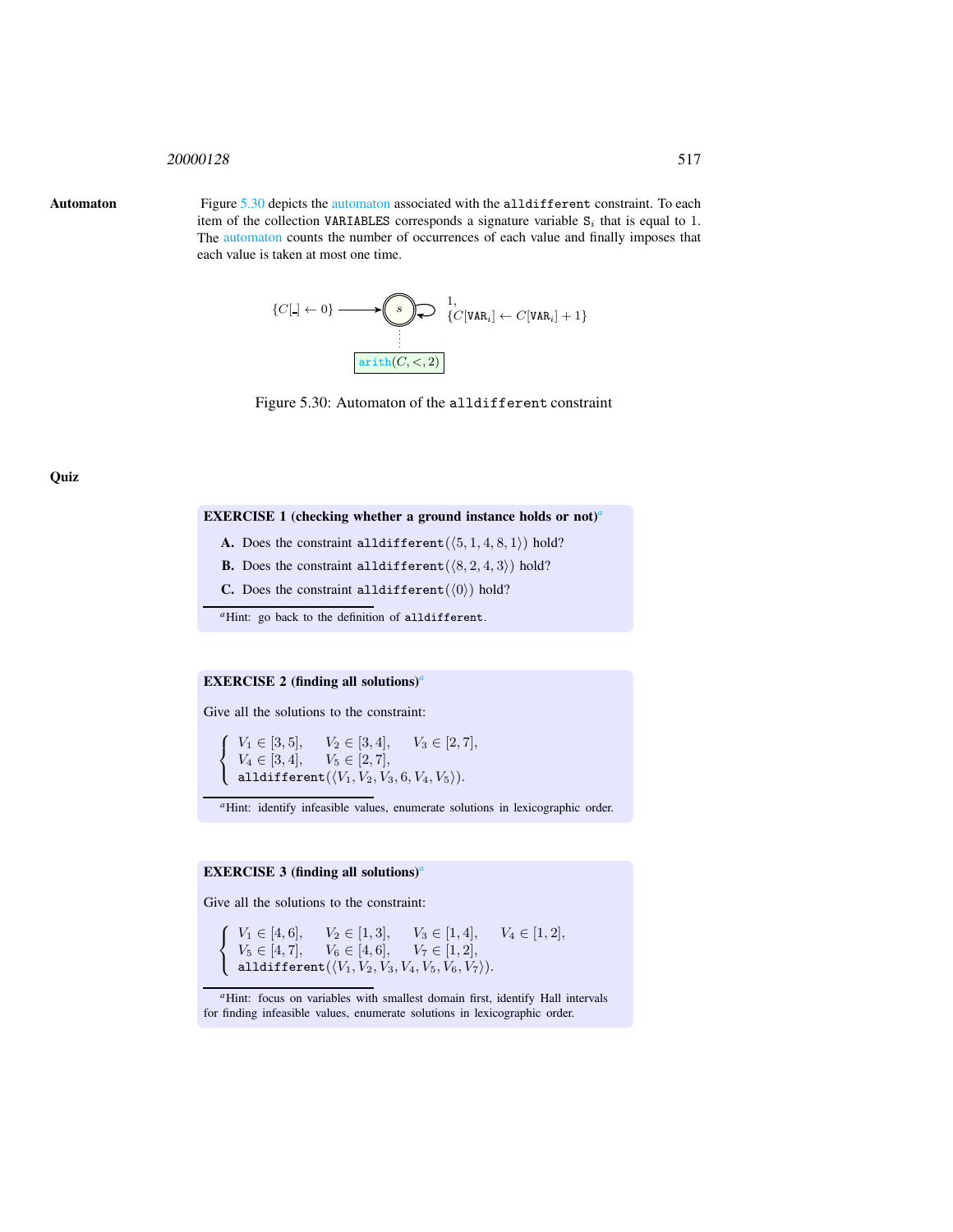#### <span id="page-11-0"></span><sup>20000128</sup> 517

Automaton Figure [5.30](#page-11-1) depicts the automaton associated with the alldifferent constraint. To each item of the collection VARIABLES corresponds a signature variable  $S_i$  that is equal to 1. The automaton counts the number of occurrences of each value and finally imposes that each value is taken at most one time.



<span id="page-11-1"></span>Figure 5.30: Automaton of the alldifferent constraint

**Quiz** 

#### EXERCISE 1 (checking whether [a](#page-11-2) ground instance holds or not)<sup>*a*</sup>

- A. Does the constraint alldifferent  $(\langle 5, 1, 4, 8, 1 \rangle)$  hold?
- **B.** Does the constraint alldifferent  $(\langle 8, 2, 4, 3 \rangle)$  hold?
- C. Does the constraint alldifferent  $(\langle 0 \rangle)$  hold?
- <sup>a</sup>Hint: go back to the definition of alldifferent.

## <span id="page-11-2"></span>**EXERCISE 2** (finding [a](#page-11-3)ll solutions)<sup>*a*</sup>

Give all the solutions to the constraint:

 $\sqrt{ }$  $\left\vert \right\vert$  $\mathcal{L}$  $V_1 \in [3, 5], \quad V_2 \in [3, 4], \quad V_3 \in [2, 7],$  $V_4 \in [3, 4], \quad V_5 \in [2, 7],$ alldifferent $(\langle V_1, V_2, V_3, 6, V_4, V_5 \rangle).$ 

*<sup>a</sup>*Hint: identify infeasible values, enumerate solutions in lexicographic order.

# EXERCISE 3 (finding [a](#page-11-4)ll solutions)<sup>*a*</sup>

<span id="page-11-3"></span>Give all the solutions to the constraint:

 $\sqrt{ }$ Į  $\mathcal{L}$  $V_1 \in [4, 6], \quad V_2 \in [1, 3], \quad V_3 \in [1, 4], \quad V_4 \in [1, 2],$  $V_5 \in [4, 7], \quad V_6 \in [4, 6], \quad V_7 \in [1, 2],$ alldifferent $(\langle V_1, V_2, V_3, V_4, V_5, V_6, V_7 \rangle).$ 

<span id="page-11-4"></span><sup>&</sup>lt;sup>*a*</sup>Hint: focus on variables with smallest domain first, identify Hall intervals for finding infeasible values, enumerate solutions in lexicographic order.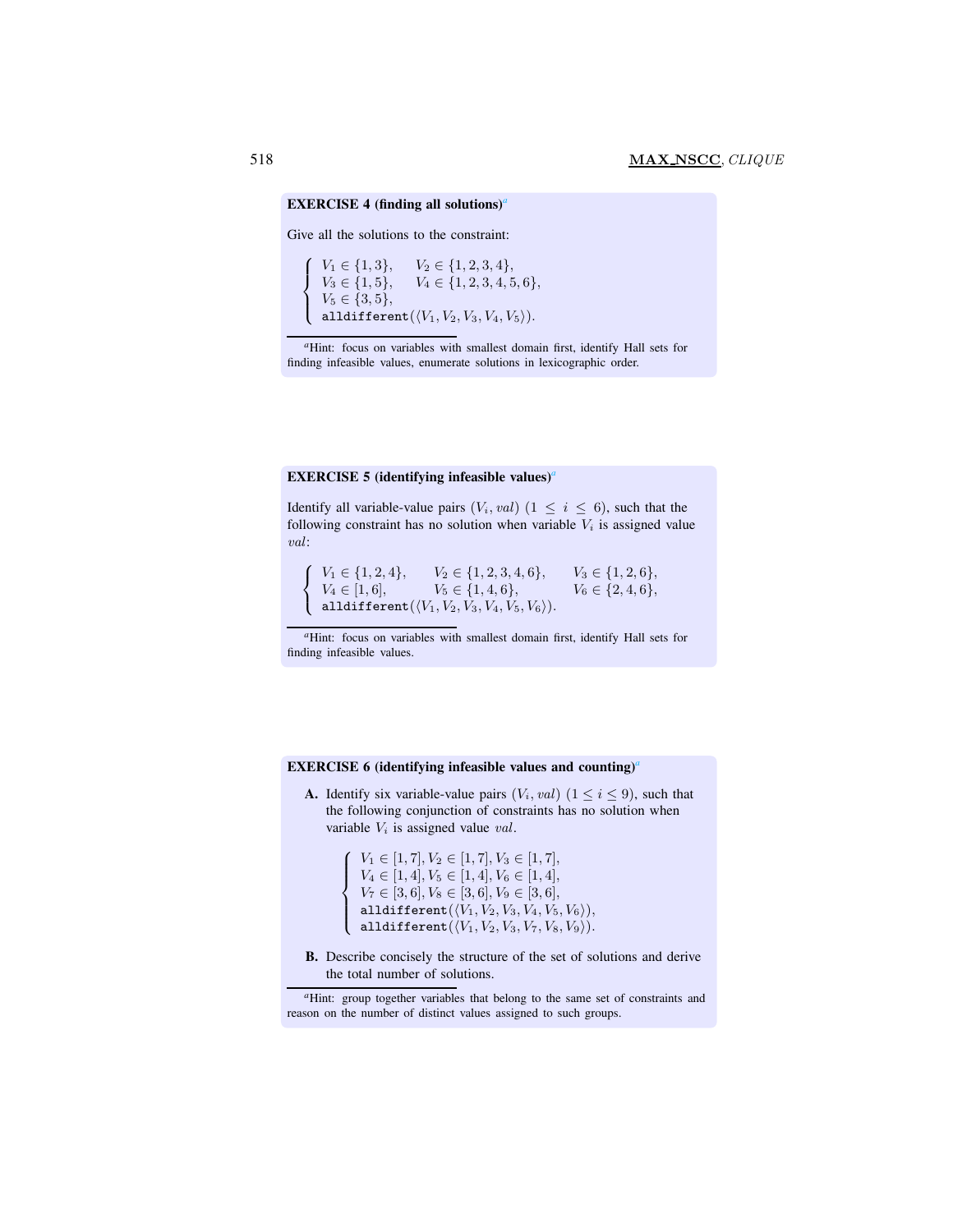#### EXERCISE 4 (finding [a](#page-12-0)ll solutions)<sup>*a*</sup>

Give all the solutions to the constraint:

 $\sqrt{ }$  $\int$ alldifferent $(\langle V_1, V_2, V_3, V_4, V_5 \rangle)$ .  $V_1 \in \{1, 3\}, \quad V_2 \in \{1, 2, 3, 4\},\$  $V_3 \in \{1, 5\}, \quad V_4 \in \{1, 2, 3, 4, 5, 6\},\$  $V_5 \in \{3, 5\},\$ 

## <span id="page-12-0"></span>EXERCISE 5 (identifying infe[a](#page-12-1)sible values)<sup>*a*</sup>

Identify all variable-value pairs  $(V_i, val)$   $(1 \leq i \leq 6)$ , such that the following constraint has no solution when variable  $V_i$  is assigned value val:

 $\sqrt{ }$ <sup>J</sup>  $\mathcal{L}$  $V_1 \in \{1, 2, 4\}, \qquad V_2 \in \{1, 2, 3, 4, 6\}, \qquad V_3 \in \{1, 2, 6\},\$  $V_4 \in [1, 6], \qquad V_5 \in \{1, 4, 6\}, \qquad V_6 \in \{2, 4, 6\},$ alldifferent $(\langle V_1, V_2, V_3, V_4, V_5, V_6 \rangle).$ 

*<sup>a</sup>*Hint: focus on variables with smallest domain first, identify Hall sets for finding infeasible values.

#### <span id="page-12-1"></span>EXERCISE 6 (identifying infeasible values and counting)*[a](#page-12-2)*

**A.** Identify six variable-value pairs  $(V_i, val)$   $(1 \leq i \leq 9)$ , such that the following conjunction of constraints has no solution when variable  $V_i$  is assigned value val.

```
\sqrt{ }V_4 \in [1, 4], V_5 \in [1, 4], V_6 \in [1, 4],<br>V_7 \in [3, 6], V_8 \in [3, 6], V_9 \in [3, 6],\overline{\mathcal{L}}V_1 \in [1, 7], V_2 \in [1, 7], V_3 \in [1, 7],V_7 \in [3, 6], V_8 \in [3, 6], V_9 \in [3, 6],alldifferent(\langle V_1, V_2, V_3, V_4, V_5, V_6 \rangle),alldifferent(\langle V_1, V_2, V_3, V_7, V_8, V_9 \rangle).
```
B. Describe concisely the structure of the set of solutions and derive the total number of solutions.

*<sup>a</sup>*Hint: focus on variables with smallest domain first, identify Hall sets for finding infeasible values, enumerate solutions in lexicographic order.

<span id="page-12-2"></span>*<sup>a</sup>*Hint: group together variables that belong to the same set of constraints and reason on the number of distinct values assigned to such groups.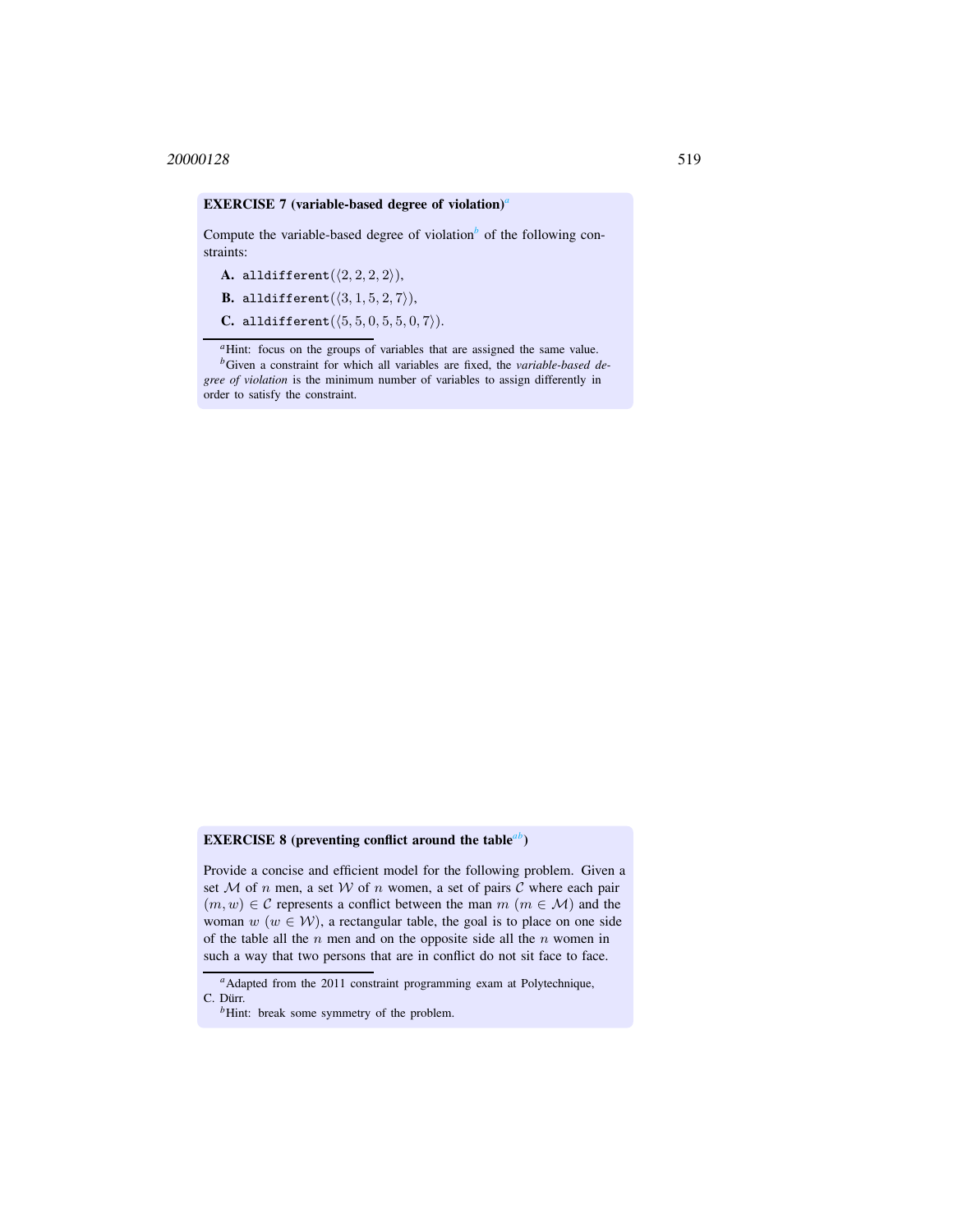#### EXERCISE 7 (v[a](#page-13-0)riable-based degree of violation)<sup>*a*</sup>

Compute the varia[b](#page-13-1)le-based degree of violation<sup> $b$ </sup> of the following constraints:

A. alldifferent $(\langle 2, 2, 2, 2 \rangle),$ 

**B.** alldifferent $(\langle 3, 1, 5, 2, 7 \rangle)$ ,

C. alldifferent $(\langle 5, 5, 0, 5, 5, 0, 7 \rangle)$ .

<sup>*a*</sup>Hint: focus on the groups of variables that are assigned the same value.

<span id="page-13-1"></span><span id="page-13-0"></span>*<sup>b</sup>*Given a constraint for which all variables are fixed, the *variable-based degree of violation* is the minimum number of variables to assign differently in order to satisfy the constraint.

## EXERCISE 8 (preventing conflict around the table*[a](#page-13-2)[b](#page-13-3)*)

Provide a concise and efficient model for the following problem. Given a set  $M$  of n men, a set  $W$  of n women, a set of pairs  $C$  where each pair  $(m, w) \in \mathcal{C}$  represents a conflict between the man  $m$   $(m \in \mathcal{M})$  and the woman  $w$  ( $w \in W$ ), a rectangular table, the goal is to place on one side of the table all the  $n$  men and on the opposite side all the  $n$  women in such a way that two persons that are in conflict do not sit face to face.

*<sup>a</sup>*Adapted from the 2011 constraint programming exam at Polytechnique, C. Dürr.

<span id="page-13-3"></span><span id="page-13-2"></span><sup>&</sup>lt;sup>*b*</sup>Hint: break some symmetry of the problem.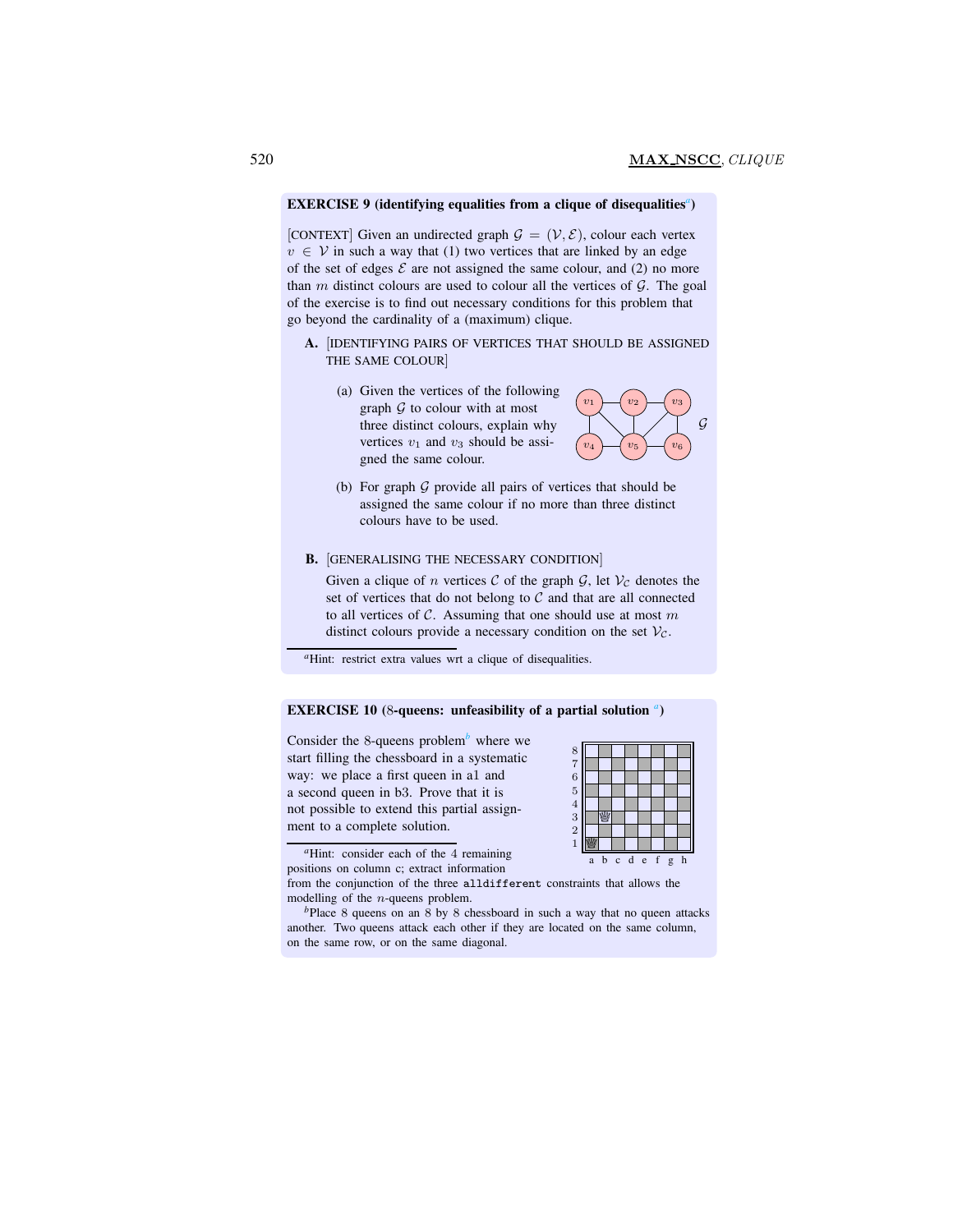## EXERCISE 9 (identifying equ[a](#page-14-0)lities from a clique of disequalities<sup>*a*</sup>)</sub>

[CONTEXT] Given an undirected graph  $\mathcal{G} = (\mathcal{V}, \mathcal{E})$ , colour each vertex  $v \in V$  in such a way that (1) two vertices that are linked by an edge of the set of edges  $\mathcal E$  are not assigned the same colour, and (2) no more than  $m$  distinct colours are used to colour all the vertices of  $G$ . The goal of the exercise is to find out necessary conditions for this problem that go beyond the cardinality of a (maximum) clique.

- A. [IDENTIFYING PAIRS OF VERTICES THAT SHOULD BE ASSIGNED THE SAME COLOUR]
	- (a) Given the vertices of the following graph  $G$  to colour with at most three distinct colours, explain why vertices  $v_1$  and  $v_3$  should be assigned the same colour.



(b) For graph  $G$  provide all pairs of vertices that should be assigned the same colour if no more than three distinct colours have to be used.

#### B. [GENERALISING THE NECESSARY CONDITION]

Given a clique of n vertices  $\mathcal C$  of the graph  $\mathcal G$ , let  $\mathcal V_C$  denotes the set of vertices that do not belong to  $C$  and that are all connected to all vertices of  $C$ . Assuming that one should use at most  $m$ distinct colours provide a necessary condition on the set  $V_c$ .

<sup>*a*</sup>Hint: restrict extra values wrt a clique of disequalities.

# EXERCISE 10 (8-queens: unfe[a](#page-14-1)sibility of a partial solution<sup>a</sup>)

Consider the 8-queens pro[b](#page-14-2)lem<sup>b</sup> where we start filling the chessboard in a systematic way: we place a first queen in a1 and a second queen in b3. Prove that it is not possible to extend this partial assignment to a complete solution.

| $\frac{8}{7}$ |   |   |            |   |         |   |   |   |
|---------------|---|---|------------|---|---------|---|---|---|
|               |   |   |            |   |         |   |   |   |
|               |   |   |            |   |         |   |   |   |
| 654321        |   |   |            |   |         |   |   |   |
|               |   |   |            |   |         |   |   |   |
|               |   |   |            |   |         |   |   |   |
|               |   |   |            |   |         |   |   |   |
|               |   |   |            |   |         |   |   |   |
|               |   |   |            |   |         |   |   |   |
|               | a | b | $\epsilon$ | d | $\rm e$ | f | g | h |
|               |   |   |            |   |         |   |   |   |

*<sup>a</sup>*Hint: consider each of the 4 remaining positions on column c; extract information

from the conjunction of the three alldifferent constraints that allows the modelling of the n-queens problem.

<span id="page-14-2"></span><span id="page-14-1"></span><span id="page-14-0"></span>*b*Place 8 queens on an 8 by 8 chessboard in such a way that no queen attacks another. Two queens attack each other if they are located on the same column, on the same row, or on the same diagonal.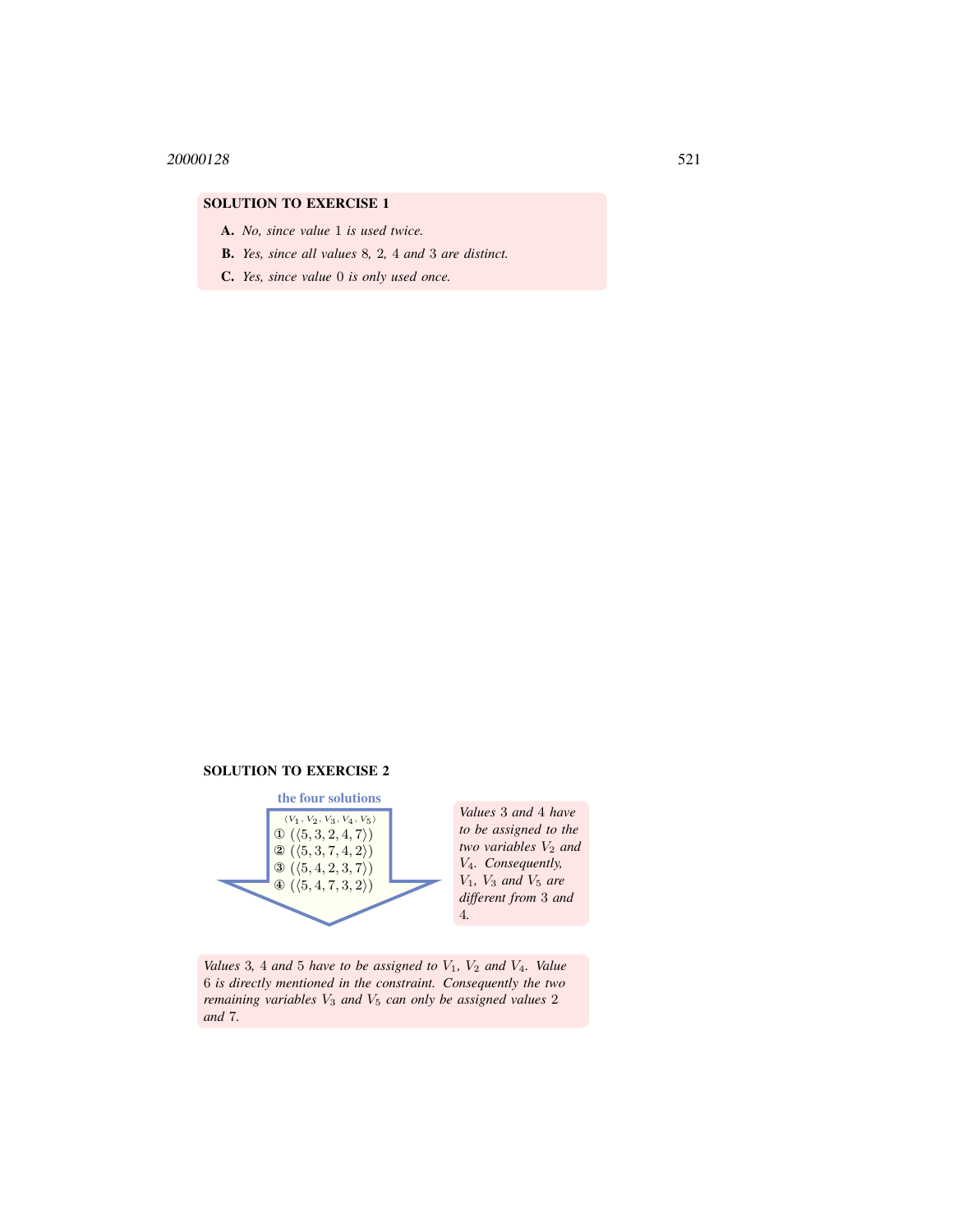- A. *No, since value* 1 *is used twice.*
- B. *Yes, since all values* 8*,* 2*,* 4 *and* 3 *are distinct.*
- C. *Yes, since value* 0 *is only used once.*

# SOLUTION TO EXERCISE 2



*Values* 3 *and* 4 *have to be assigned to the two variables*  $V_2$  *and* V4*. Consequently,* V1*,* V<sup>3</sup> *and* V<sup>5</sup> *are different from* 3 *and*

*Values* 3, 4 *and* 5 *have to be assigned to*  $V_1$ *,*  $V_2$  *and*  $V_4$ *. Value* 6 *is directly mentioned in the constraint. Consequently the two remaining variables* V<sup>3</sup> *and* V<sup>5</sup> *can only be assigned values* 2 *and* 7*.*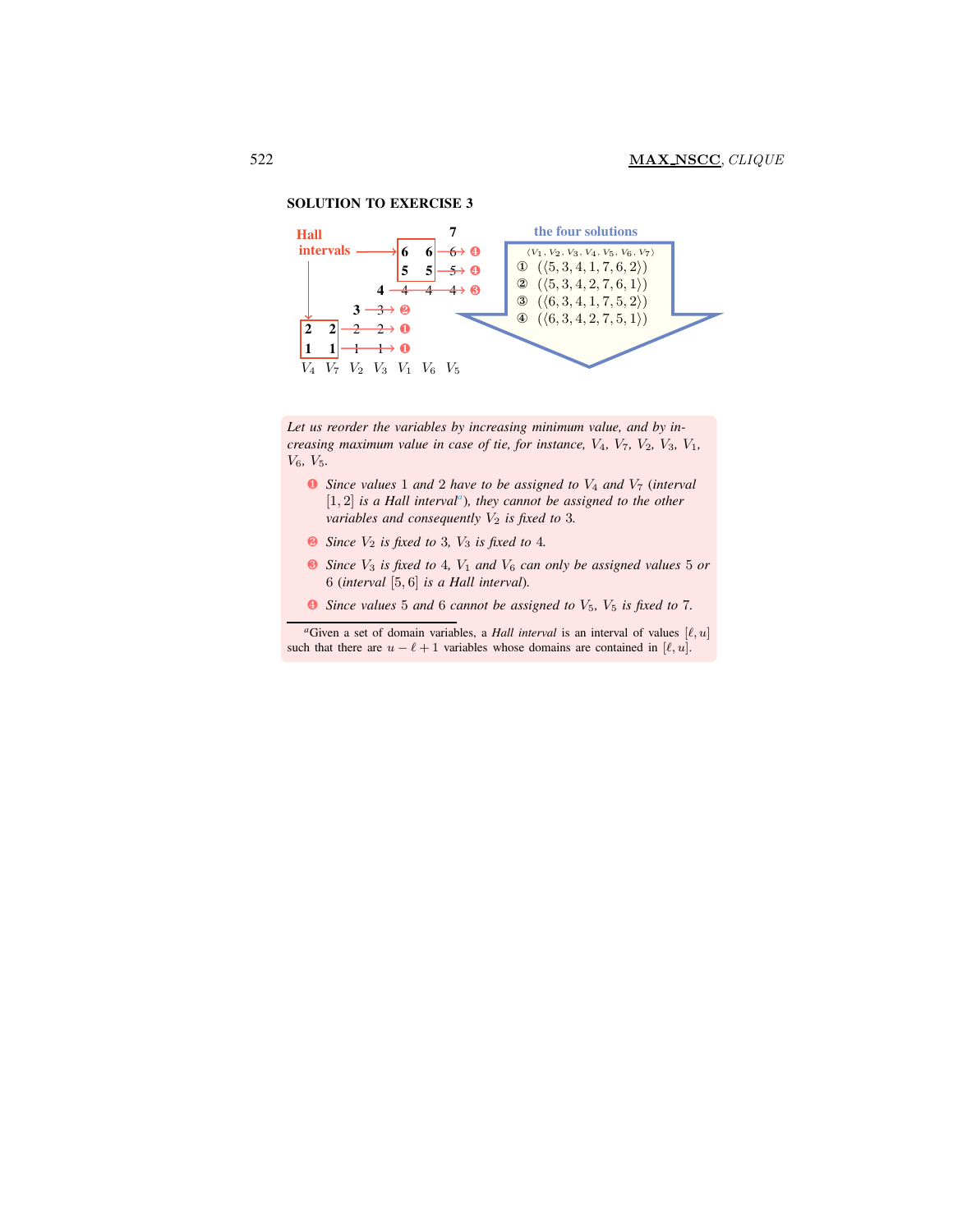

<span id="page-16-0"></span>*Let us reorder the variables by increasing minimum value, and by increasing maximum value in case of tie, for instance,* V4*,* V7*,* V2*,* V3*,* V1*,* V6*,* V5*.*

- ❶ *Since values* 1 *and* 2 *have to be assigned to* V<sup>4</sup> *and* V<sup>7</sup> (*interval* [1, 2] *is a Hall interval[a](#page-16-0)* )*, they cannot be assigned to the other variables and consequently*  $V_2$  *is fixed to* 3*.*
- $\bullet$  *Since*  $V_2$  *is fixed to* 3*,*  $V_3$  *is fixed to* 4*.*
- ❸ *Since* V<sup>3</sup> *is fixed to* 4*,* V<sup>1</sup> *and* V<sup>6</sup> *can only be assigned values* 5 *or* 6 (*interval* [5, 6] *is a Hall interval*)*.*
- ❹ *Since values* 5 *and* 6 *cannot be assigned to* V5*,* V<sup>5</sup> *is fixed to* 7*.*

<sup>*a*</sup>Given a set of domain variables, a *Hall interval* is an interval of values  $[\ell, u]$ such that there are  $u - \ell + 1$  variables whose domains are contained in  $[\ell, u]$ .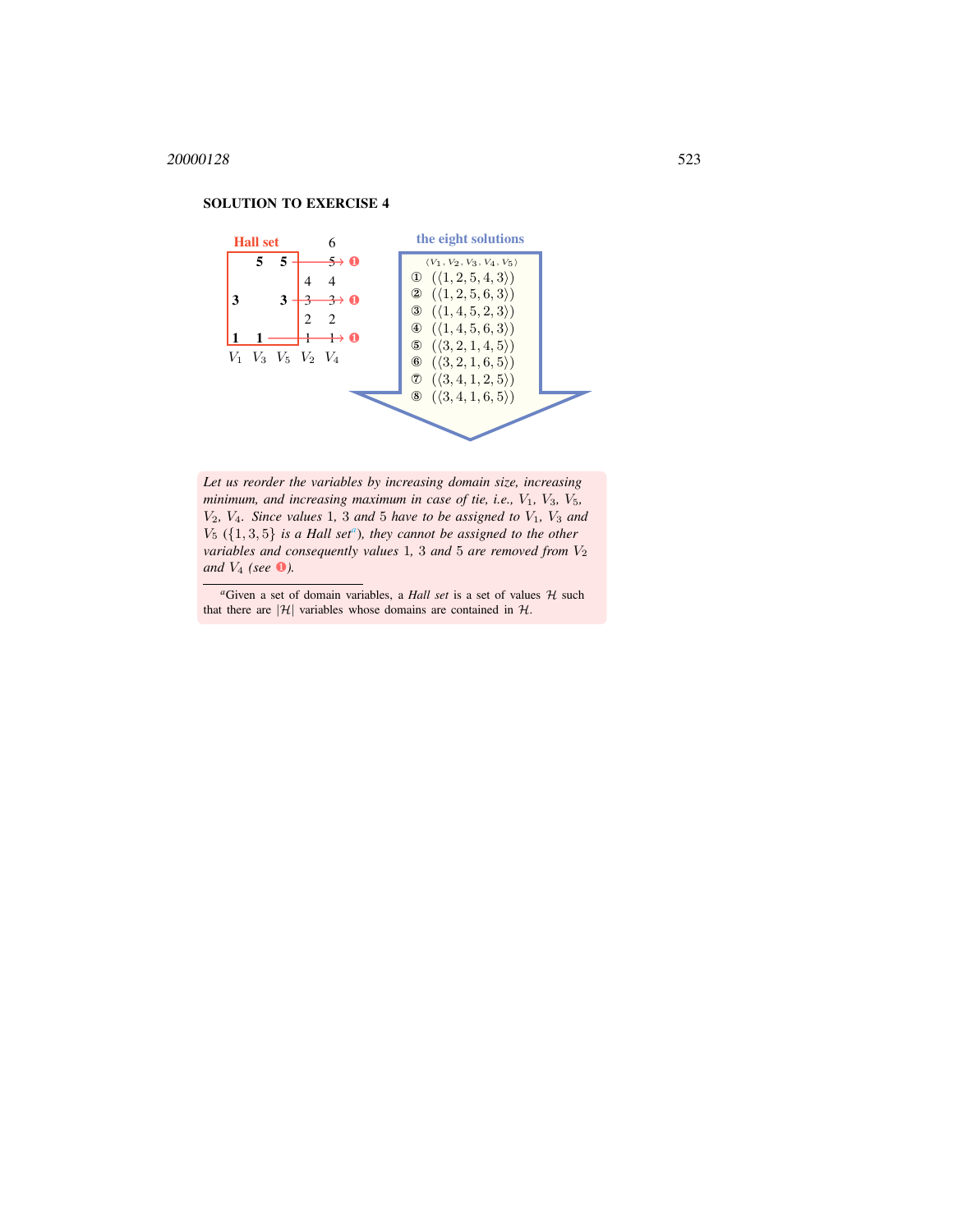#### <span id="page-17-0"></span>6  $5 \overline{5}$   $\longrightarrow$  0 4 4  $3 \overline{)3 \overline{)3 \rightarrow 3 \rightarrow 0}$ 2 2  $1 \t1 \t+1$  0 V<sup>1</sup> V<sup>3</sup> V<sup>5</sup> V<sup>2</sup> V<sup>4</sup> Hall set  $\langle V_1, V_2, V_3, V_4, V_5\rangle$  $\mathbb{O} \left( \langle 1, 2, 5, 4, 3 \rangle \right)$  $(1, 2, 5, 6, 3)$ 3  $({1, 4, 5, 2, 3})$  $\Phi$   $(\langle 1, 4, 5, 6, 3 \rangle)$  $\odot (\langle 3, 2, 1, 4, 5 \rangle)$  $(3, 2, 1, 6, 5)$  $\mathcal{O}(\langle 3, 4, 1, 2, 5 \rangle)$  $(3, 4, 1, 6, 5)$ the eight solutions

*Let us reorder the variables by increasing domain size, increasing minimum, and increasing maximum in case of tie, i.e.,*  $V_1$ *,*  $V_3$ *,*  $V_5$ *,*  $V_2$ *, V<sub>4</sub>. Since values* 1*,* 3 *and* 5 *have to be assigned to*  $V_1$ *,*  $V_3$  *and*  $V_5$  ( $\{1,3,5\}$  *is [a](#page-17-0) Hall set<sup><i>a*</sup></sup>), they cannot be assigned to the other *variables and consequently values* 1, 3 *and* 5 *are removed from*  $V_2$ *and* V<sup>4</sup> *(see* ❶*).*

# SOLUTION TO EXERCISE 4

 ${}^a$ Given a set of domain variables, a *Hall set* is a set of values  $H$  such that there are  $|\mathcal{H}|$  variables whose domains are contained in  $\mathcal{H}$ .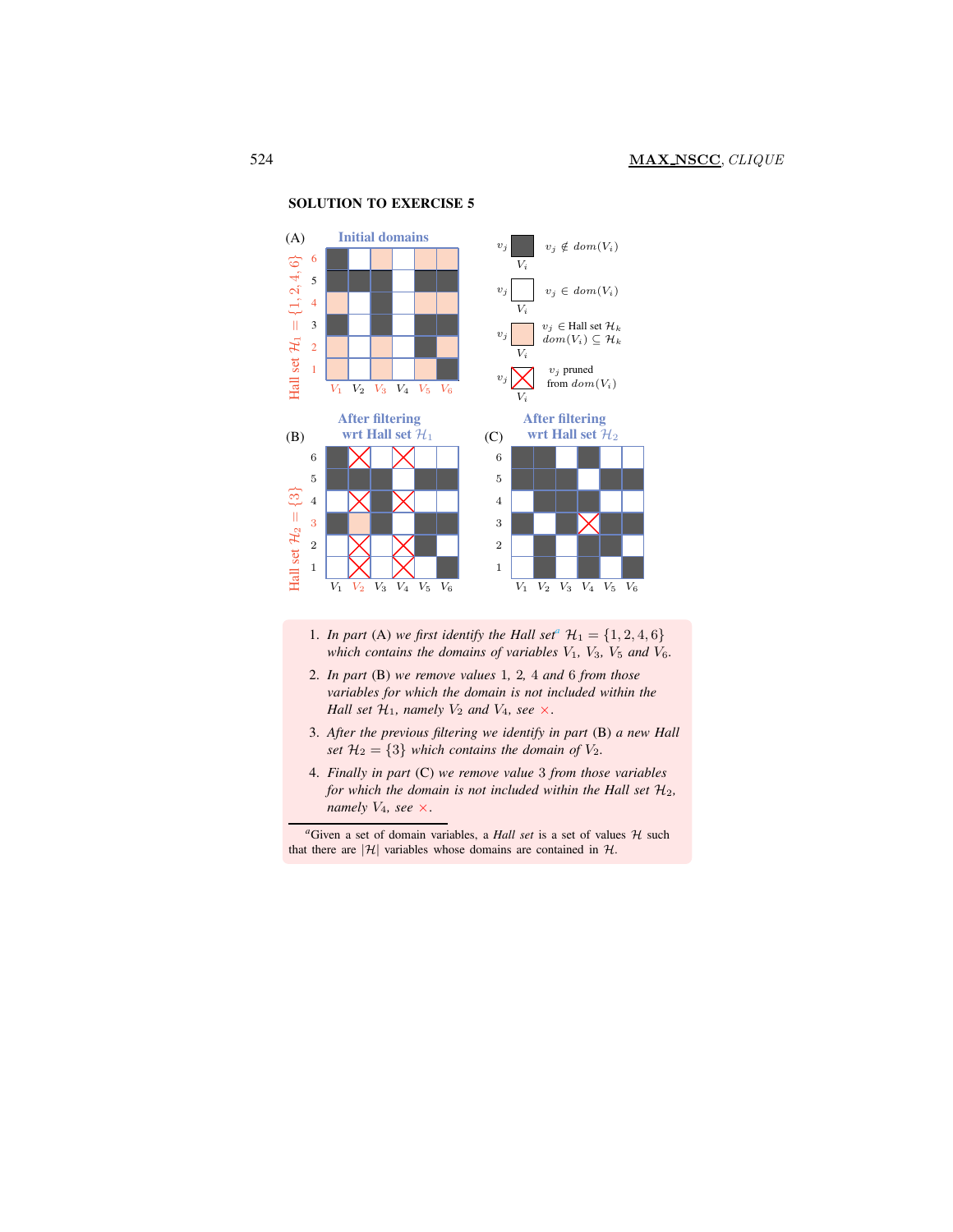<span id="page-18-0"></span> $\begin{array}{|c|c|c|c|c|}\hline \rule{0mm}{4mm} & V_1 & V_2 & V_3 & V_4 & V_5 & V_6 \\\hline \end{array}$ 3 5 1 2 4 6 Hall set  $\mathcal{H}_1$  $=\{1,2,4,6\}$ (A) Initial domains  $\scriptstyle{V_i}$ V<sup>i</sup> V<sup>i</sup>  $V_i$  $v_j$  $v_j$  $v_j$  $v_j$  $\notin dom(V_i)$  $v_j \in dom(V_i)$  $v_j \in$  Hall set  $\mathcal{H}_k$  $dom(V_i) \subseteq \mathcal{H}_k$  $v_j$  pruned from  $dom(V_i)$ V1 V2 V3 V4 V5 V6 3 1 2 4 5 6 After filtering wrt Hall set  $\mathcal{H}_1$ Hall set  $H_2 = \{3\}$ (B) V1 V2 V3 V4 V5 V6 1 2 3 4 5 6 After filtering (C) wrt Hall set  $\mathcal{H}_2$ 

SOLUTION TO EXERCISE 5

- 1. *In p[a](#page-18-0)rt* (A) *we first identify the Hall set<sup><i>a*</sup>  $\mathcal{H}_1 = \{1, 2, 4, 6\}$ *which contains the domains of variables*  $V_1$ ,  $V_3$ ,  $V_5$  *and*  $V_6$ *.*
- 2. *In part* (B) *we remove values* 1*,* 2*,* 4 *and* 6 *from those variables for which the domain is not included within the Hall set*  $H_1$ *, namely*  $V_2$  *and*  $V_4$ *, see*  $\times$ .
- 3. *After the previous filtering we identify in part* (B) *a new Hall set*  $\mathcal{H}_2 = \{3\}$  *which contains the domain of*  $V_2$ *.*
- 4. *Finally in part* (C) *we remove value* 3 *from those variables for which the domain is not included within the Hall set*  $H_2$ , *namely*  $V_4$ *, see*  $\times$ .

 ${}^a$ Given a set of domain variables, a *Hall set* is a set of values  $H$  such that there are  $|\mathcal{H}|$  variables whose domains are contained in  $\mathcal{H}$ .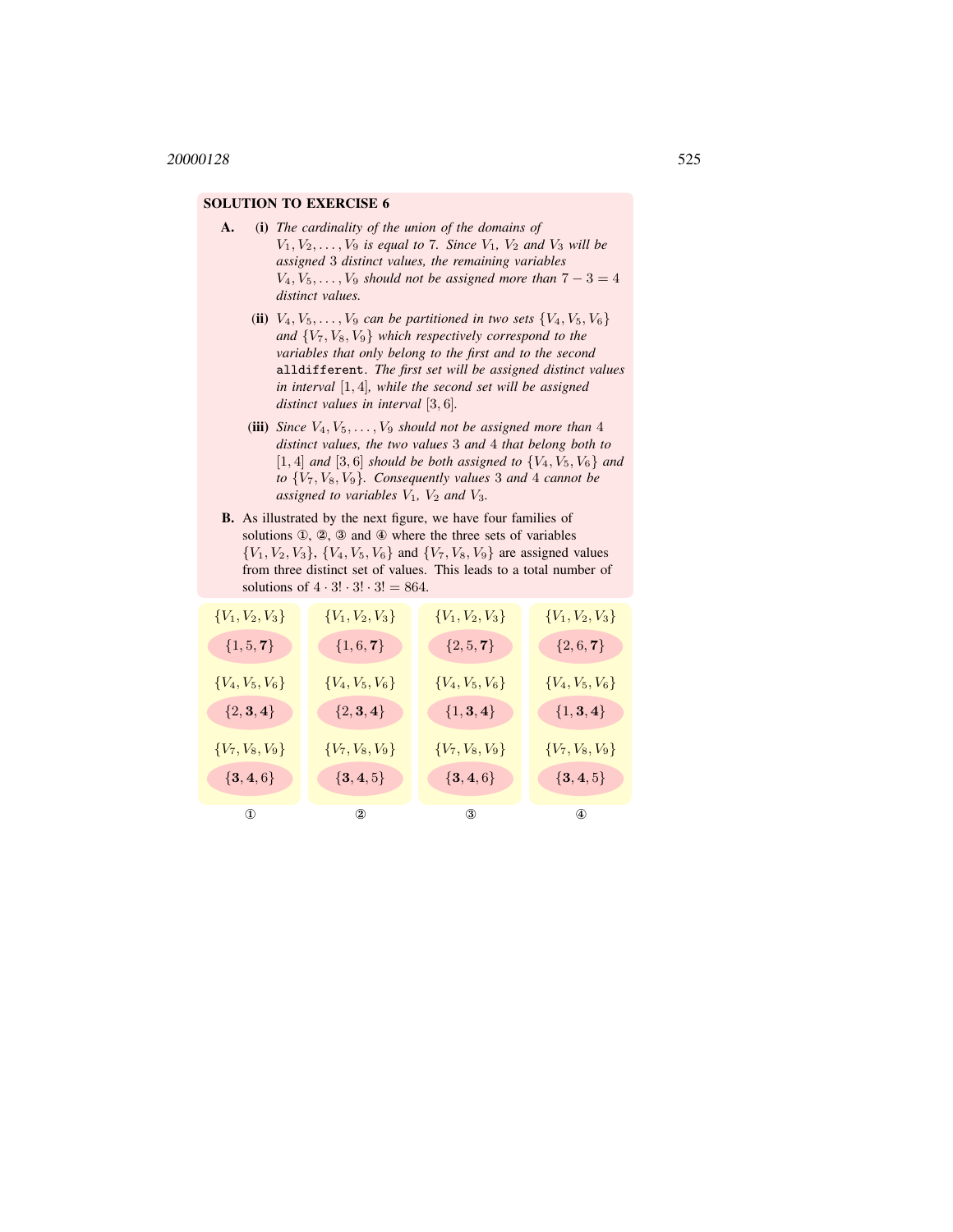- A. (i) *The cardinality of the union of the domains of*  $V_1, V_2, \ldots, V_9$  *is equal to* 7*. Since*  $V_1, V_2$  *and*  $V_3$  *will be assigned* 3 *distinct values, the remaining variables*  $V_4, V_5, \ldots, V_9$  *should not be assigned more than*  $7 - 3 = 4$ *distinct values.*
	- (ii)  $V_4, V_5, \ldots, V_9$  *can be partitioned in two sets*  $\{V_4, V_5, V_6\}$ *and* {V7, V8, V<sup>9</sup>} *which respectively correspond to the variables that only belong to the first and to the second* alldifferent. *The first set will be assigned distinct values in interval* [1, 4]*, while the second set will be assigned distinct values in interval* [3, 6]*.*
	- (iii) *Since*  $V_4, V_5, \ldots, V_9$  *should not be assigned more than* 4 *distinct values, the two values* 3 *and* 4 *that belong both to*  $[1, 4]$  *and*  $[3, 6]$  *should be both assigned to*  $\{V_4, V_5, V_6\}$  *and to* {V7, V8, V<sup>9</sup>}*. Consequently values* 3 *and* 4 *cannot be assigned to variables*  $V_1$ *,*  $V_2$  *and*  $V_3$ *.*
- B. As illustrated by the next figure, we have four families of solutions ①, ②, ③ and ④ where the three sets of variables  ${V_1, V_2, V_3}, {V_4, V_5, V_6}$  and  ${V_7, V_8, V_9}$  are assigned values from three distinct set of values. This leads to a total number of solutions of  $4 \cdot 3! \cdot 3! \cdot 3! = 864$ .

| ${V_1, V_2, V_3}$ | ${V_1, V_2, V_3}$        | ${V_1, V_2, V_3}$ | ${V_1, V_2, V_3}$ |
|-------------------|--------------------------|-------------------|-------------------|
| $\{1, 5, 7\}$     | $\{1,6,\boldsymbol{7}\}$ | $\{2, 5, 7\}$     | $\{2, 6, 7\}$     |
| ${V_4, V_5, V_6}$ | ${V_4, V_5, V_6}$        | ${V_4, V_5, V_6}$ | ${V_4, V_5, V_6}$ |
| ${2, 3, 4}$       | $\{2,3,4\}$              | $\{1,3,4\}$       | ${1, 3, 4}$       |
| ${V_7, V_8, V_9}$ | ${V_7, V_8, V_9}$        | ${V_7, V_8, V_9}$ | ${V_7, V_8, V_9}$ |
| $\{{\bf 3,4,6}\}$ | ${3, 4, 5}$              | $\{{\bf 3,4,6}\}$ | ${3, 4, 5}$       |
| $\circled{1}$     | $^{\circ}$               | $\circled{3}$     | $\circled{4}$     |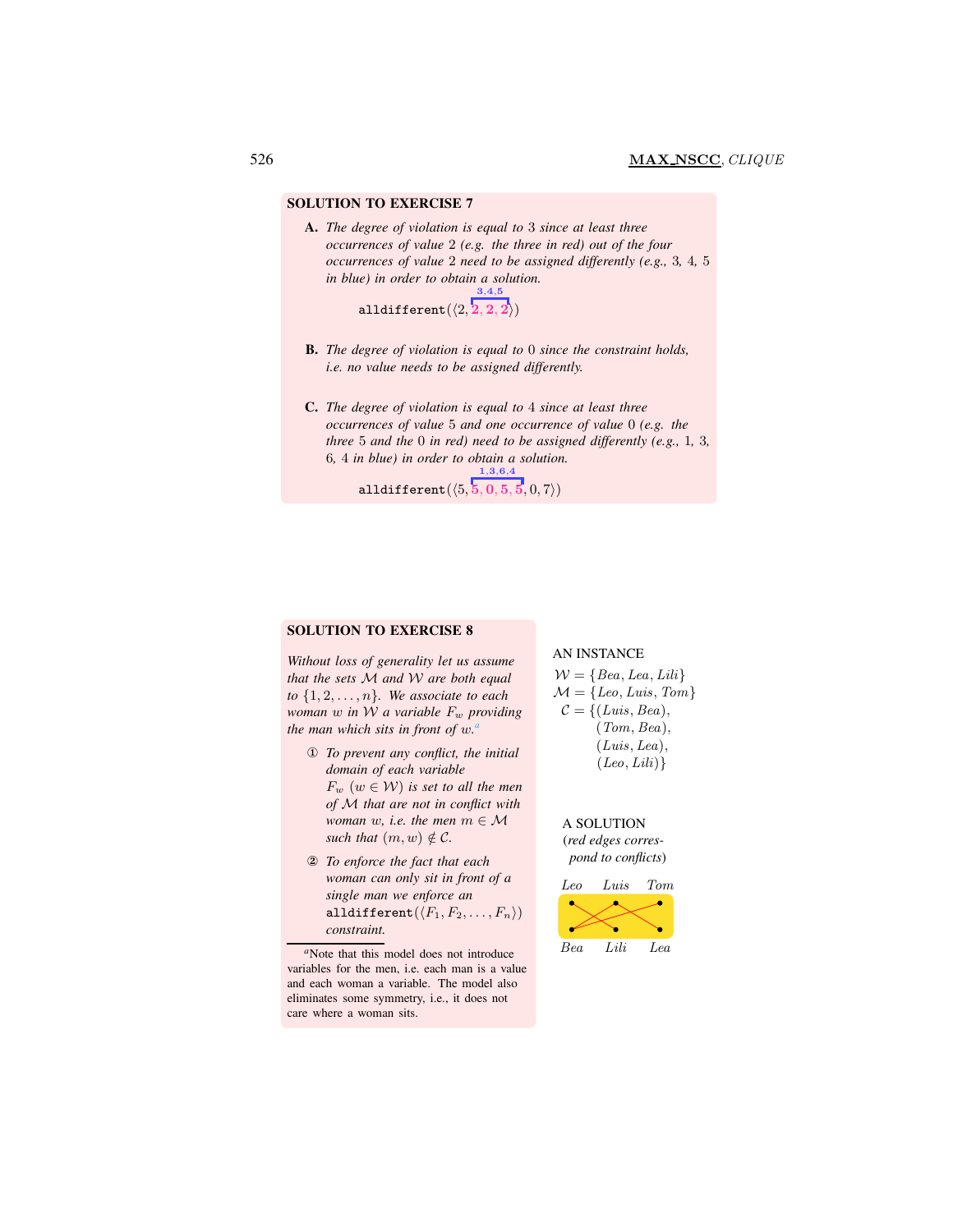A. *The degree of violation is equal to* 3 *since at least three occurrences of value* 2 *(e.g. the three in red) out of the four occurrences of value* 2 *need to be assigned differently (e.g.,* 3*,* 4*,* 5 *in blue) in order to obtain a solution.* 3,4,5

alldifferent $(\langle 2, {\bf \overline{2}}, 2, 2 \rangle)$ 

- B. *The degree of violation is equal to* 0 *since the constraint holds, i.e. no value needs to be assigned differently.*
- C. *The degree of violation is equal to* 4 *since at least three occurrences of value* 5 *and one occurrence of value* 0 *(e.g. the three* 5 *and the* 0 *in red) need to be assigned differently (e.g.,* 1*,* 3*,* 6*,* 4 *in blue) in order to obtain a solution.*

 $\mathtt{alldifferent}(\langle 5, {\bf \bar{5}}, 0, 5, 5, 0, 7 \rangle)$ 1,3,6,4

#### SOLUTION TO EXERCISE 8

*Without loss of generality let us assume that the sets* M *and* W *are both equal to*  $\{1, 2, \ldots, n\}$ *. We associate to each woman w in W a variable*  $F_w$  *providing the man which sits in front of* w*. [a](#page-20-0)*

- ① *To prevent any conflict, the initial domain of each variable*  $F_w$   $(w \in W)$  *is set to all the men of* M *that are not in conflict with woman* w, i.e. the men  $m \in \mathcal{M}$ *such that*  $(m, w) \notin C$ *.*
- ② *To enforce the fact that each woman can only sit in front of a single man we enforce an* alldifferent $(\langle F_1, F_2, \ldots, F_n \rangle)$ *constraint.*

<span id="page-20-0"></span>*<sup>a</sup>*Note that this model does not introduce variables for the men, i.e. each man is a value and each woman a variable. The model also eliminates some symmetry, i.e., it does not care where a woman sits.

#### AN INSTANCE

 $W = \{Bea, Lea, Lili\}$  $\mathcal{M} = \{Leo, Luis, Tom\}$  $C = \{ (Luis, Bea),$ (Tom, Bea), (Luis, Lea),  $(Leo, Lili)$ 

A SOLUTION (*red edges correspond to conflicts*)

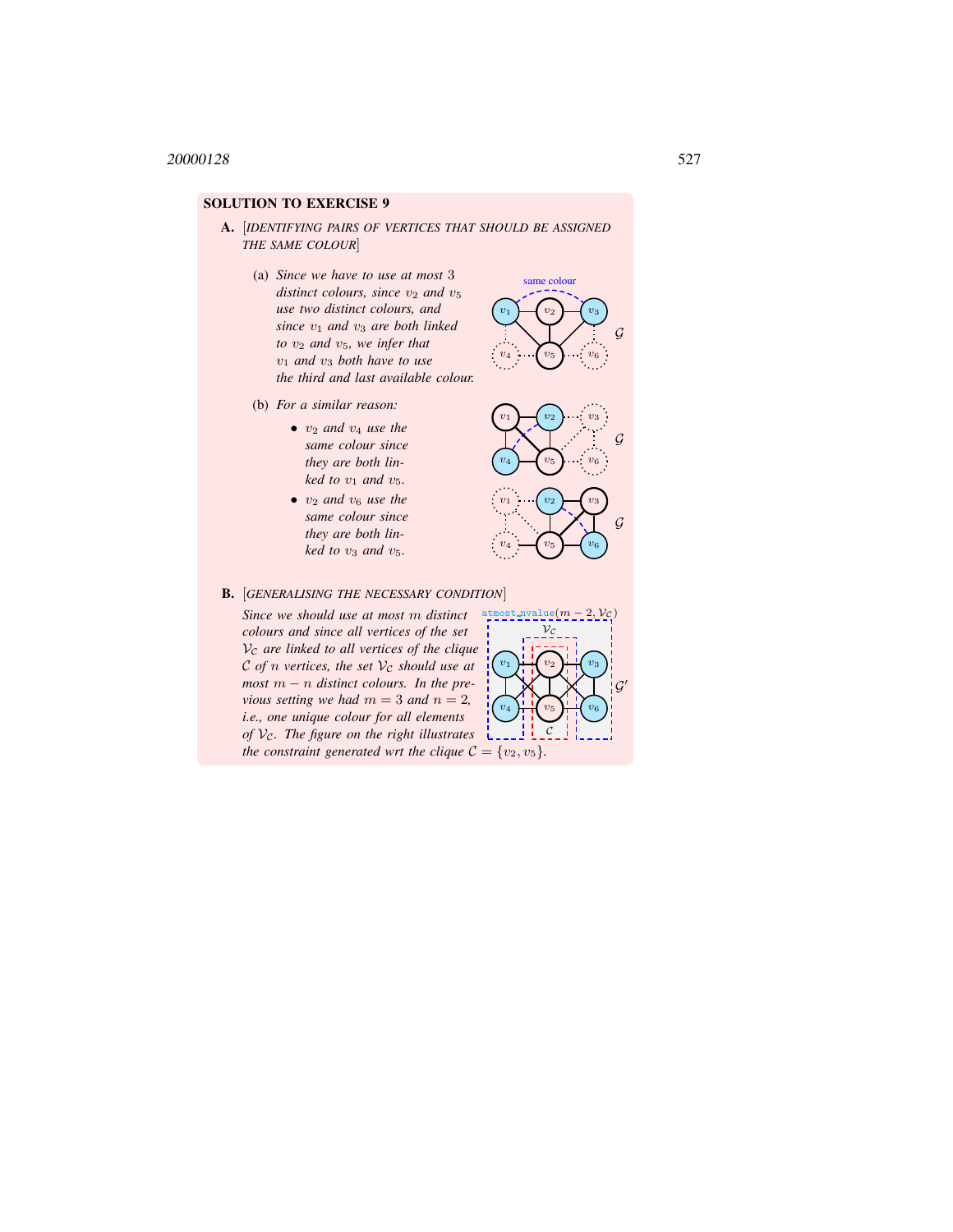- A. [*IDENTIFYING PAIRS OF VERTICES THAT SHOULD BE ASSIGNED THE SAME COLOUR*]
	- (a) *Since we have to use at most* 3 *distinct colours, since*  $v_2$  *and*  $v_5$ *use two distinct colours, and since*  $v_1$  *and*  $v_3$  *are both linked to*  $v_2$  *and*  $v_5$ *, we infer that*  $v_1$  *and*  $v_3$  *both have to use the third and last available colour.*
	- (b) *For a similar reason:*
		- $v_2$  *and*  $v_4$  *use the same colour since they are both linked to*  $v_1$  *and*  $v_5$ *.*
		- $v_2$  *and*  $v_6$  *use the same colour since they are both linked to*  $v_3$  *and*  $v_5$ *.*



 $v_1 \rightarrow v_2 \rightarrow v_3$ 

same colour

 $v_4$   $\cdots$   $v_5$   $\cdots$   $v_6$ 

G

B. [*GENERALISING THE NECESSARY CONDITION*]

*Since we should use at most* m *distinct colours and since all vertices of the set*  $V_c$  are linked to all vertices of the clique C of *n* vertices, the set  $V_c$  should use at *most* m − n *distinct colours. In the previous setting we had*  $m = 3$  *and*  $n = 2$ *, i.e., one unique colour for all elements of*  $V_c$ . The figure on the right illustrates  $\frac{1}{2}$ *the constraint generated wrt the clique*  $C = \{v_2, v_5\}$ *.* 

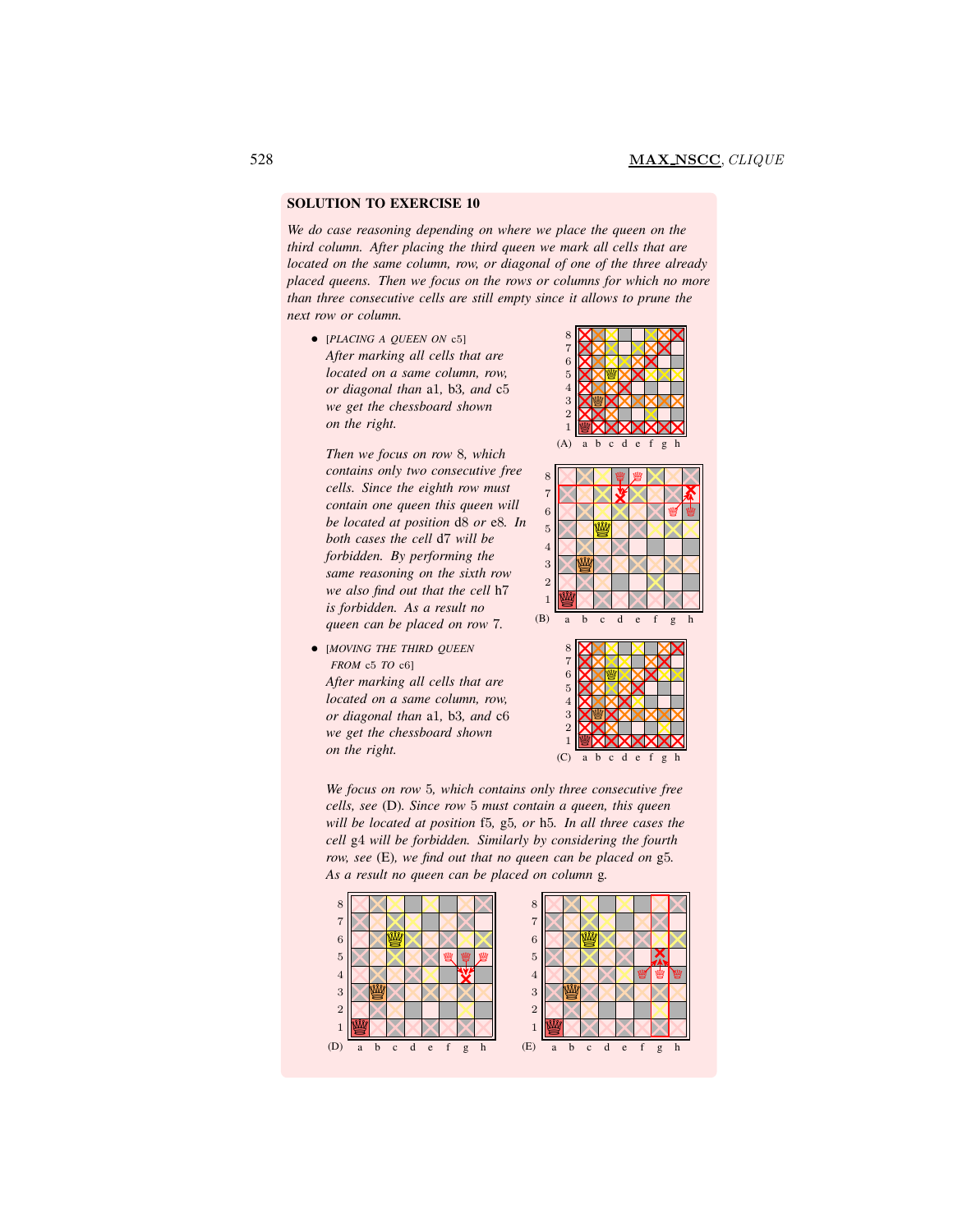*We do case reasoning depending on where we place the queen on the third column. After placing the third queen we mark all cells that are located on the same column, row, or diagonal of one of the three already placed queens. Then we focus on the rows or columns for which no more than three consecutive cells are still empty since it allows to prune the next row or column.*

8

• [*PLACING A QUEEN ON* <sup>c</sup>5] *After marking all cells that are located on a same column, row, or diagonal than* a1*,* b3*, and* c5 *we get the chessboard shown on the right.*

*Then we focus on row* 8*, which contains only two consecutive free cells. Since the eighth row must contain one queen this queen will be located at position* d8 *or* e8*. In both cases the cell* d7 *will be forbidden. By performing the same reasoning on the sixth row we also find out that the cell* h7 *is forbidden. As a result no queen can be placed on row* 7*.*

• [*MOVING THE THIRD QUEEN FROM* c5 *TO* c6]



*After marking all cells that are located on a same column, row, or diagonal than* a1*,* b3*, and* c6 *we get the chessboard shown on the right.*

a b c d e f g h  $(C)$ 

W W

1 2 3

*We focus on row* 5*, which contains only three consecutive free cells, see* (D)*. Since row* 5 *must contain a queen, this queen will be located at position* f5*,* g5*, or* h5*. In all three cases the cell* g4 *will be forbidden. Similarly by considering the fourth row, see* (E)*, we find out that no queen can be placed on* g5*. As a result no queen can be placed on column* g*.*